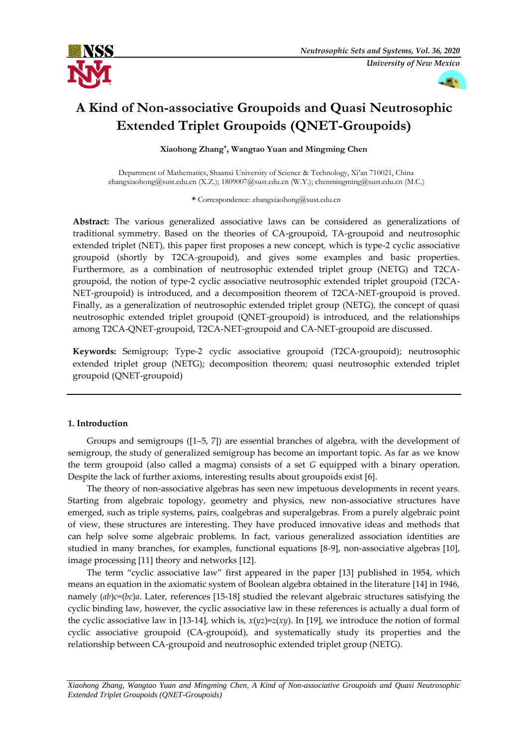



# **A Kind of Non-associative Groupoids and Quasi Neutrosophic Extended Triplet Groupoids (QNET-Groupoids)**

**Xiaohong Zhang\* , Wangtao Yuan and Mingming Chen**

Department of Mathematics, Shaanxi University of Science & Technology, Xi'an 710021, China zhangxiaohong@sust.edu.cn (X.Z.); 1809007@sust.edu.cn (W.Y.); chenmingming@sust.edu.cn (M.C.)

**\*** Correspondence: zhangxiaohong@sust.edu.cn

**Abstract:** The various generalized associative laws can be considered as generalizations of traditional symmetry. Based on the theories of CA-groupoid, TA-groupoid and neutrosophic extended triplet (NET), this paper first proposes a new concept, which is type-2 cyclic associative groupoid (shortly by T2CA-groupoid), and gives some examples and basic properties. Furthermore, as a combination of neutrosophic extended triplet group (NETG) and T2CAgroupoid, the notion of type-2 cyclic associative neutrosophic extended triplet groupoid (T2CA-NET-groupoid) is introduced, and a decomposition theorem of T2CA-NET-groupoid is proved. Finally, as a generalization of neutrosophic extended triplet group (NETG), the concept of quasi neutrosophic extended triplet groupoid (QNET-groupoid) is introduced, and the relationships among T2CA-QNET-groupoid, T2CA-NET-groupoid and CA-NET-groupoid are discussed.

**Keywords:** Semigroup; Type-2 cyclic associative groupoid (T2CA-groupoid); neutrosophic extended triplet group (NETG); decomposition theorem; quasi neutrosophic extended triplet groupoid (QNET-groupoid)

# **1. Introduction**

Groups and semigroups ([1–5, 7]) are essential branches of algebra, with the development of semigroup, the study of generalized semigroup has become an important topic. As far as we know the term groupoid (also called a magma) consists of a set *G* equipped with a binary operation. Despite the lack of further axioms, interesting results about groupoids exist [6].

The theory of non-associative algebras has seen new impetuous developments in recent years. Starting from algebraic topology, geometry and physics, new non-associative structures have emerged, such as triple systems, pairs, coalgebras and superalgebras. From a purely algebraic point of view, these structures are interesting. They have produced innovative ideas and methods that can help solve some algebraic problems. In fact, various generalized association identities are studied in many branches, for examples, functional equations [8-9], non-associative algebras [10], image processing [11] theory and networks [12].

The term "cyclic associative law" first appeared in the paper [13] published in 1954, which means an equation in the axiomatic system of Boolean algebra obtained in the literature [14] in 1946, namely  $(ab)c=(bc)a$ . Later, references [15-18] studied the relevant algebraic structures satisfying the cyclic binding law, however, the cyclic associative law in these references is actually a dual form of the cyclic associative law in [13-14], which is,  $x(yz)=z(xy)$ . In [19], we introduce the notion of formal cyclic associative groupoid (CA-groupoid), and systematically study its properties and the relationship between CA-groupoid and neutrosophic extended triplet group (NETG).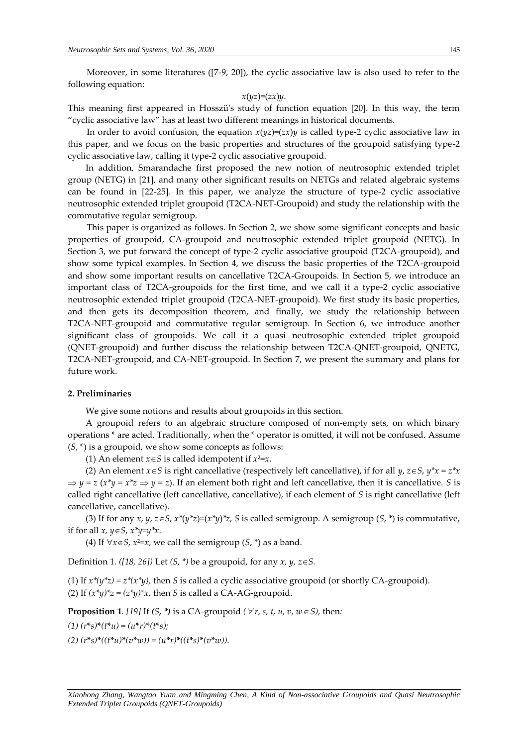Moreover, in some literatures ([7-9, 20]), the cyclic associative law is also used to refer to the following equation:

#### $x(yz)=(zx)y$ .

This meaning first appeared in Hosszü's study of function equation [20]. In this way, the term "cyclic associative law" has at least two different meanings in historical documents.

In order to avoid confusion, the equation  $x(yz)=(zx)y$  is called type-2 cyclic associative law in this paper, and we focus on the basic properties and structures of the groupoid satisfying type-2 cyclic associative law, calling it type-2 cyclic associative groupoid.

In addition, Smarandache first proposed the new notion of neutrosophic extended triplet group (NETG) in [21], and many other significant results on NETGs and related algebraic systems can be found in [22-25]. In this paper, we analyze the structure of type-2 cyclic associative neutrosophic extended triplet groupoid (T2CA-NET-Groupoid) and study the relationship with the commutative regular semigroup.

This paper is organized as follows. In Section 2, we show some significant concepts and basic properties of groupoid, CA-groupoid and neutrosophic extended triplet groupoid (NETG). In Section 3, we put forward the concept of type-2 cyclic associative groupoid (T2CA-groupoid), and show some typical examples. In Section 4, we discuss the basic properties of the T2CA-groupoid and show some important results on cancellative T2CA-Groupoids. In Section 5, we introduce an important class of T2CA-groupoids for the first time, and we call it a type-2 cyclic associative neutrosophic extended triplet groupoid (T2CA-NET-groupoid). We first study its basic properties, and then gets its decomposition theorem, and finally, we study the relationship between T2CA-NET-groupoid and commutative regular semigroup. In Section 6, we introduce another significant class of groupoids. We call it a quasi neutrosophic extended triplet groupoid (QNET-groupoid) and further discuss the relationship between T2CA-QNET-groupoid, QNETG, T2CA-NET-groupoid, and CA-NET-groupoid. In Section 7, we present the summary and plans for future work.

# **2. Preliminaries**

We give some notions and results about groupoids in this section.

A groupoid refers to an algebraic structure composed of non-empty sets, on which binary operations \* are acted. Traditionally, when the \* operator is omitted, it will not be confused. Assume (*S*, \*) is a groupoid, we show some concepts as follows:

(1) An element  $x \in S$  is called idempotent if  $x^2=x$ .

(2) An element  $x \in S$  is right cancellative (respectively left cancellative), if for all  $y, z \in S$ ,  $y^*x = z^*x$  $\Rightarrow$  *y* = *z*(*x*<sup>\*</sup>*y* = *x*<sup>\*</sup>*z*  $\Rightarrow$  *y* = *z*). If an element both right and left cancellative, then it is cancellative. *S* is called right cancellative (left cancellative, cancellative), if each element of *S* is right cancellative (left cancellative, cancellative).

(3) If for any *x*,  $y$ ,  $z \in S$ ,  $x^*(y^*z)=(x^*y)^*z$ , S is called semigroup. A semigroup  $(S, * )$  is commutative, if for all  $x, y \in S$ ,  $x^*y=y^*x$ .

(4) If  $\forall x \in S$ ,  $x^2=x$ , we call the semigroup  $(S, * )$  as a band.

Definition 1*. ([18, 26])* Let *(S, \*)* be a groupoid, for any *x, y, zS.*

(1) If  $x^*(y^*z) = z^*(x^*y)$ , then *S* is called a cyclic associative groupoid (or shortly CA-groupoid). (2) If  $(x^*y)^*z = (z^*y)^*x$ , then *S* is called a CA-AG-groupoid.

**Proposition 1***.* [19] If (S, \*) is a CA-groupoid ( $\forall$ r, s, t, u, v, w  $\in$  S), then:

 $(1) (r^*s)^*(t^*u) = (u^*r)^*(t^*s);$ 

 $(2)$   $(r^*s)^*( (t^*u)^*(v^*w)) = (u^*r)^*((t^*s)^*(v^*w))$ .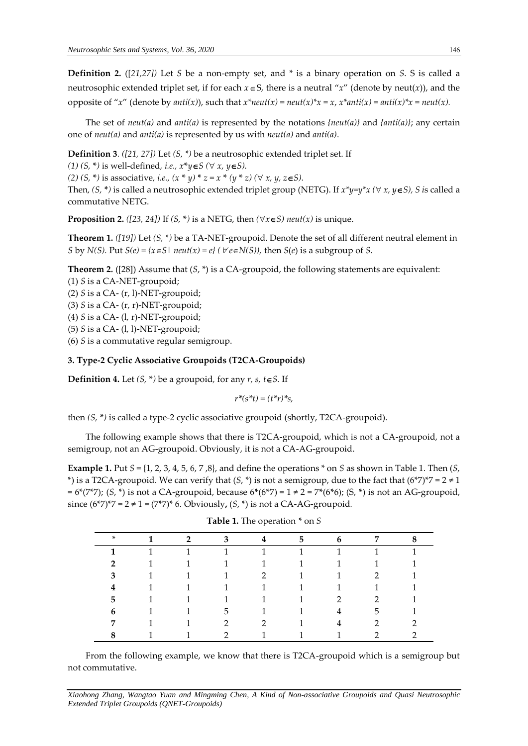**Definition 2.** ([*21,27])* Let *S* be a non-empty set, and \* is a binary operation on *S*. S is called a neutrosophic extended triplet set, if for each  $x \in S$ , there is a neutral " $x$ " (denote by neut(x)), and the opposite of "*x*" (denote by *anti(x)*), such that  $x^*neut(x) = neut(x)^*x = x$ ,  $x^*anti(x) = anti(x)^*x = neutr(x)$ .

The set of *neut(a)* and *anti(a)* is represented by the notations *{neut(a)}* and *{anti(a)}*; any certain one of *neut(a)* and *anti(a)* is represented by us with *neut(a)* and *anti(a)*.

**Definition 3***. ([21, 27])* Let *(S, \*)* be a neutrosophic extended triplet set. If

*(1)*  $(S, *)$  is well-defined, *i.e.*,  $x^*y \in S$  ( $\forall x, y \in S$ ).

*(2) (S,* **\****)* is associative*, i.e., (x* **\*** *y)* **\*** *z = x* **\*** *(y* **\*** *z) ( x, y, zS).*

Then,  $(S, * )$  is called a neutrosophic extended triplet group (NETG). If  $x^*y=y^*x$  ( $\forall x, y \in S$ ), *S* is called a commutative NETG.

**Proposition 2.** *([23, 24])* If *(S, \*)* is a NETG, then  $(\forall x \in S)$  *neut(x)* is unique.

**Theorem 1.** *([19])* Let *(S, \*)* be a TA-NET-groupoid. Denote the set of all different neutral element in *S* by *N(S)*. Put *S(e)* = { $x \in S$ | *neut(x)* =  $e$ } ( $\forall e \in N(S)$ ), then *S(e)* is a subgroup of *S*.

**Theorem 2.** ([28]) Assume that  $(S, * )$  is a CA-groupoid, the following statements are equivalent: (1) *S* is a CA-NET-groupoid;

(2) *S* is a CA- (r, l)-NET-groupoid;

(3) *S* is a CA- (r, r)-NET-groupoid;

(4) *S* is a CA- (l, r)-NET-groupoid;

(5) *S* is a CA- (l, l)-NET-groupoid;

(6) *S* is a commutative regular semigroup.

#### **3. Type-2 Cyclic Associative Groupoids (T2CA-Groupoids)**

**Definition 4.** Let  $(S, * )$  be a groupoid, for any  $r, s, t \in S$ . If

 $r^*(s^*t) = (t^*r)^*s$ ,

then *(S,* **\****)* is called a type-2 cyclic associative groupoid (shortly, T2CA-groupoid).

The following example shows that there is T2CA-groupoid, which is not a CA-groupoid, not a semigroup, not an AG-groupoid. Obviously, it is not a CA-AG-groupoid.

**Example 1.** Put  $S = \{1, 2, 3, 4, 5, 6, 7, 8\}$ , and define the operations  $*$  on  $S$  as shown in Table 1. Then  $(S, S)$ \*) is a T2CA-groupoid. We can verify that  $(S, * )$  is not a semigroup, due to the fact that  $(6 * 7) * 7 = 2 \neq 1$ = 6\*(7\*7); (*S*, \*) is not a CA-groupoid, because 6**\***(6**\***7) = 1 ≠ 2 = 7**\***(6**\***6); (S, **\***) is not an AG-groupoid, since  $(6^*7)^*7 = 2 \ne 1 = (7^*7)^* 6$ . Obviously,  $(S, * )$  is not a CA-AG-groupoid.

| * | 1 | $\overline{2}$ | $\mathbf{3}$  | 4              | 5            | 6 | 7              | 8 |
|---|---|----------------|---------------|----------------|--------------|---|----------------|---|
|   | 1 | $\mathbf{1}$   | 1             | 1              |              |   |                | 1 |
| C | 1 | $\mathbf{1}$   | 1             | 1              | $\mathbf{1}$ |   |                | 1 |
| 3 |   | $\mathbf{1}$   | 1             | $\overline{2}$ | $\mathbf{1}$ |   | $\mathcal{P}$  | 1 |
| 4 |   | $\mathbf{1}$   | 1             | 1              | $\mathbf{1}$ |   |                | 1 |
| 5 |   |                | 1             | 1              | 1            | 2 | $\mathcal{L}$  |   |
| 6 |   |                | 5             | 1              |              | 4 | 5              |   |
| 7 |   |                | 2             | $\overline{2}$ |              | 4 | $\overline{2}$ | C |
| 8 |   |                | $\mathcal{P}$ | 1              |              |   | 2              | ◠ |

| <b>Table 1.</b> The operation $*$ on S |  |  |
|----------------------------------------|--|--|
|----------------------------------------|--|--|

From the following example, we know that there is T2CA-groupoid which is a semigroup but not commutative.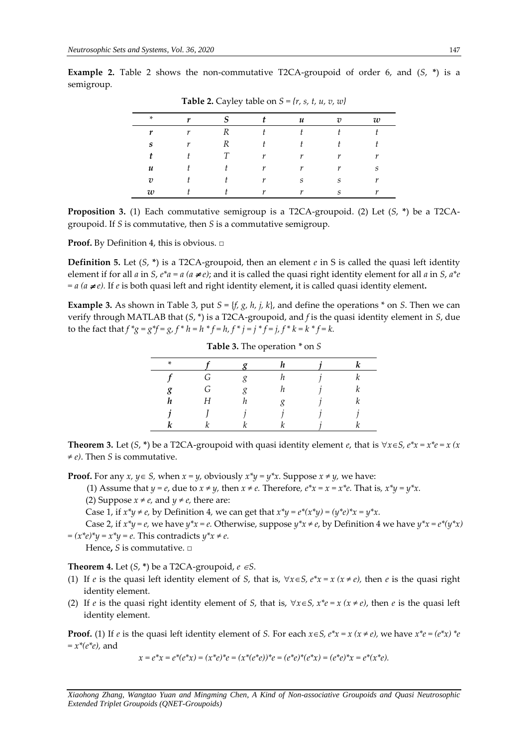| <b>Table 2.</b> Cayley table on $S = \{r, s, t, u, v, w\}$ |  |  |  |   |                |   |  |  |
|------------------------------------------------------------|--|--|--|---|----------------|---|--|--|
| *                                                          |  |  |  | u | 7 <sub>7</sub> | w |  |  |
|                                                            |  |  |  |   |                |   |  |  |
| s                                                          |  |  |  |   |                |   |  |  |
|                                                            |  |  |  |   |                |   |  |  |
| и                                                          |  |  |  |   |                | S |  |  |
| 72                                                         |  |  |  | s |                |   |  |  |
| w                                                          |  |  |  |   |                |   |  |  |

**Example 2.** Table 2 shows the non-commutative T2CA-groupoid of order 6, and (*S*, **\***) is a semigroup*.* 

**Proposition 3.** (1) Each commutative semigroup is a T2CA-groupoid. (2) Let (*S*, **\***) be a T2CAgroupoid. If *S* is commutative, then *S* is a commutative semigroup.

**Proof.** By Definition 4, this is obvious. □

**Definition 5.** Let  $(S, * )$  is a T2CA-groupoid, then an element *e* in S is called the quasi left identity element if for all *a* in *S*,  $e^*a = a$  ( $a \ne e$ ); and it is called the quasi right identity element for all *a* in *S*,  $a^*e$  $= a (a \neq e)$ . If *e* is both quasi left and right identity element, it is called quasi identity element.

**Example 3.** As shown in Table 3, put  $S = \{f, g, h, j, k\}$ , and define the operations  $*$  on *S*. Then we can verify through MATLAB that (*S*, \*) is a T2CA-groupoid, and *f* is the quasi identity element in *S*, due to the fact that  $f * g = g * f = g, f * h = h * f = h, f * j = j * f = j, f * k = k * f = k.$ 

| $\ast$ |   |  |  |
|--------|---|--|--|
|        | ာ |  |  |
| g      | G |  |  |
| h.     |   |  |  |
|        |   |  |  |
|        |   |  |  |

**Table 3.** The operation *\** on *S*

**Theorem 3.** Let  $(S, * )$  be a T2CA-groupoid with quasi identity element *e*, that is  $\forall x \in S, e^*x = x^*e = x$  (x *≠ e)*. Then *S* is commutative.

**Proof.** For any *x*,  $y \in S$ , when  $x = y$ , obviously  $x^*y = y^*x$ . Suppose  $x \neq y$ , we have:

(1) Assume that *y* = *e*, due to  $x \neq y$ , then  $x \neq e$ . Therefore,  $e^*x = x = x^*e$ . That is,  $x^*y = y^*x$ .

(2) Suppose  $x \neq e$ , and  $y \neq e$ , there are:

Case 1, if  $x^*y \neq e$ , by Definition 4, we can get that  $x^*y = e^*(x^*y) = (y^*e)^*x = y^*x$ .

Case 2, if  $x^*y = e$ , we have  $y^*x = e$ . Otherwise, suppose  $y^*x \neq e$ , by Definition 4 we have  $y^*x = e^*(y^*x)$  $=(x^*e)^*y = x^*y = e$ . This contradicts  $y^*x \neq e$ .

Hence**,** *S* is commutative. □

**Theorem 4.** Let  $(S, * )$  be a T2CA-groupoid,  $e \in S$ .

- (1) If *e* is the quasi left identity element of *S*, that is,  $\forall x \in S$ ,  $e^*x = x$  ( $x \ne e$ ), then *e* is the quasi right identity element.
- (2) If *e* is the quasi right identity element of *S*, that is,  $\forall x \in S$ ,  $x^*e = x$  ( $x \ne e$ ), then *e* is the quasi left identity element.

**Proof.** (1) If *e* is the quasi left identity element of *S*. For each  $x \in S$ ,  $e^*x = x$  ( $x \ne e$ ), we have  $x^*e = (e^*x)^*e$ *= x\*(e\*e),* and

$$
x = e^*x = e^*(e^*x) = (x^*e)^*e = (x^*(e^*e))^*e = (e^*e)^*(e^*x) = (e^*e)^*x = e^*(x^*e).
$$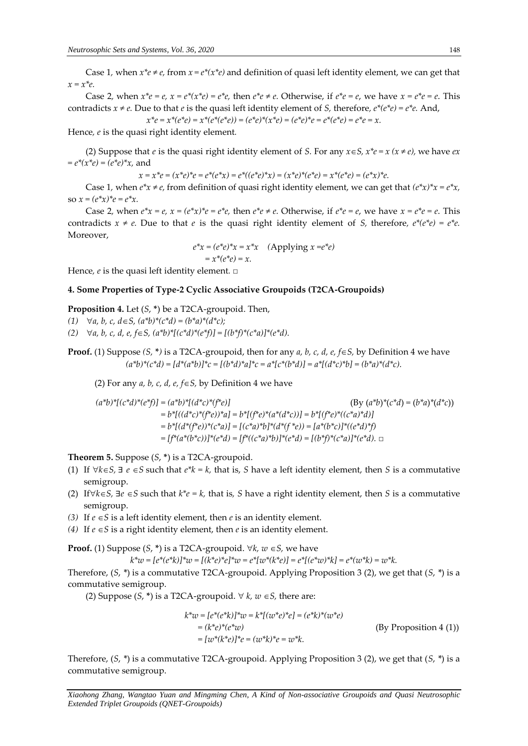Case 1, when  $x^*e \neq e$ , from  $x = e^*(x^*e)$  and definition of quasi left identity element, we can get that *x = x\*e.*

Case 2, when  $x^*e = e$ ,  $x = e^*(x^*e) = e^*e$ , then  $e^*e \neq e$ . Otherwise, if  $e^*e = e$ , we have  $x = e^*e = e$ . This contradicts  $x \neq e$ . Due to that *e* is the quasi left identity element of *S*, therefore,  $e^*(e^*e) = e^*e$ . And,

 $x^*e = x^*(e^*e) = x^*(e^*(e^*e)) = (e^*e)^*(x^*e) = (e^*e)^*e = e^*(e^*e) = e^*e = x.$ 

Hence*, e* is the quasi right identity element*.*

(2) Suppose that *e* is the quasi right identity element of *S*. For any  $x \in S$ ,  $x^*e = x$  ( $x \neq e$ ), we have *ex*  $= e^{*}(x^{*}e) = (e^{*}e)^{*}x$ , and

$$
x = x^*e = (x^*e)^*e = e^*(e^*x) = e^*((e^*e)^*x) = (x^*e)^*(e^*e) = x^*(e^*e) = (e^*x)^*e.
$$

Case 1, when  $e^*x \neq e$ , from definition of quasi right identity element, we can get that  $(e^*x)^*x = e^*x$ , so  $x = (e^*x)^*e = e^*x$ .

Case 2, when  $e^x x = e$ ,  $x = (e^x x)^x e = e^x e$ , then  $e^x e \neq e$ . Otherwise, if  $e^x e = e$ , we have  $x = e^x e = e$ . This contradicts  $x \neq e$ . Due to that *e* is the quasi right identity element of *S*, therefore,  $e^*(e^*e) = e^*e$ . Moreover,

$$
e^*x = (e^*e)^*x = x^*x \quad \text{(Applying } x = e^*e)
$$

$$
= x^*(e^*e) = x.
$$

Hence*, e* is the quasi left identity element*.* □

#### **4. Some Properties of Type-2 Cyclic Associative Groupoids (T2CA-Groupoids)**

**Proposition 4.** Let (*S*, **\***) be a T2CA-groupoid. Then,

(1)  $\forall a, b, c, d \in S$ ,  $(a^*b)^*(c^*d) = (b^*a)^*(d^*c)$ ;

(2)  $\forall a, b, c, d, e, f \in S$ ,  $(a * b) * [(c * d) * (e * f)] = [(b * f) * (c * a)] * (e * d).$ 

**Proof.** (1) Suppose  $(S, * )$  is a T2CA-groupoid, then for any *a, b, c, d, e, f* $\in S$ , by Definition 4 we have  $(a^*b)^*(c^*d) = [d^*(a^*b)]^*c = [(b^*d)^*a]^*c = a^*[c^*(b^*d)] = a^*[(d^*c)^*b] = (b^*a)^*(d^*c)$ .

(2) For any  $a$ ,  $b$ ,  $c$ ,  $d$ ,  $e$ ,  $f \in S$ , by Definition 4 we have

$$
(a^*b)^*[ (c^*d)^* (e^*f)] = (a^*b)^*[(d^*c)^* (f^*e)]
$$
\n
$$
(By (a^*b)^* (c^*d) = (b^*a)^* (d^*c))
$$
\n
$$
= b^*[((d^*c)^* (f^*e))^*a] = b^*[(f^*e)^* (a^*(d^*c))] = b^*[(f^*e)^*((c^*a)^*d)]
$$
\n
$$
= b^*[(d^*(f^*e))^* (c^*a)] = [(c^*a)^*b]^* (d^*(f^*e)) = [a^*(b^*c)]^*((e^*d)^*f)
$$
\n
$$
= [f^*(a^*(b^*c))]^*(e^*d) = [f^*((c^*a)^*b)]^*(e^*d) = [(b^*f)^*(c^*a)]^*(e^*d). \Box
$$

**Theorem 5.** Suppose (*S*, **\***) is a T2CA-groupoid.

- (1) If  $\forall k \in S$ ,  $\exists e \in S$  such that  $e^*k = k$ , that is, *S* have a left identity element, then *S* is a commutative semigroup.
- (2) If  $\forall k \in S$ ,  $\exists e \in S$  such that  $k^*e = k$ , that is, S have a right identity element, then S is a commutative semigroup.
- *(3)* If  $e \in S$  is a left identity element, then  $e$  is an identity element.
- *(4)* If  $e \in S$  is a right identity element, then  $e$  is an identity element.

**Proof.** (1) Suppose  $(S, * )$  is a T2CA-groupoid.  $\forall k, w \in S$ , we have

 $k^*w = [e^*(e^*k)]^*w = [(k^*e)^*e]^*w = e^*[w^*(k^*e)] = e^*[(e^*w)^*k] = e^*(w^*k) = w^*k$ .

Therefore, (*S*, *\**) is a commutative T2CA-groupoid. Applying Proposition 3 (2), we get that (*S*, *\**) is a commutative semigroup.

(2) Suppose  $(S, * )$  is a T2CA-groupoid.  $\forall k, w \in S$ , there are:

$$
k^*w = [e^*(e^*k)]^*w = k^*[(w^*e)^*e] = (e^*k)^*(w^*e)
$$
  
=  $(k^*e)^*(e^*w)$   
=  $[w^*(k^*e)]^*e = (w^*k)^*e = w^*k.$   
(By Proposition 4 (1))  
(By Proposition 4 (1))

Therefore, (*S*, *\**) is a commutative T2CA-groupoid. Applying Proposition 3 (2), we get that (*S*, *\**) is a commutative semigroup.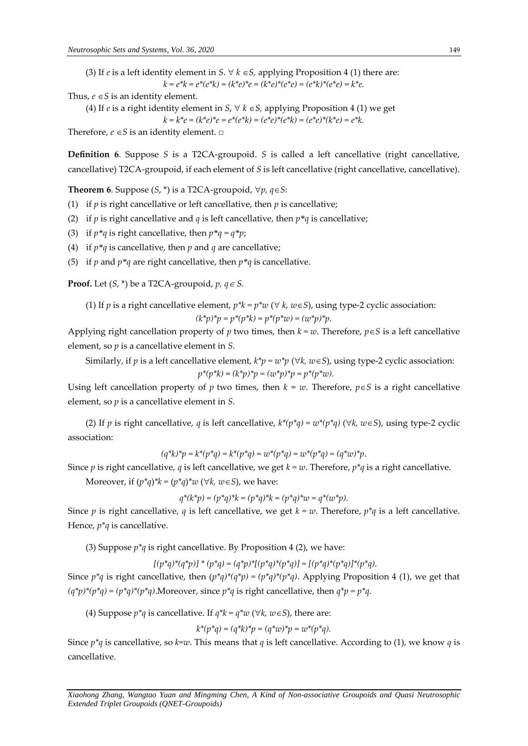(3) If *e* is a left identity element in *S*.  $\forall$  *k*  $\in$  *S*, applying Proposition 4 (1) there are:  $k = e^*k = e^*(e^*k) = (k^*e)^*e = (k^*e)^*(e^*e) = (e^*k)^*(e^*e) = k^*e$ .

Thus,  $e \in S$  is an identity element.

(4) If *e* is a right identity element in *S*,  $\forall k \in S$ , applying Proposition 4 (1) we get

 $k = k^*e = (k^*e)^*e = e^*(e^*k) = (e^*e)^*(e^*k) = (e^*e)^*(k^*e) = e^*k$ .

Therefore,  $e \in S$  is an identity element.  $\Box$ 

**Definition 6.** Suppose *S* is a T2CA-groupoid. *S* is called a left cancellative (right cancellative, cancellative) T2CA-groupoid, if each element of *S* is left cancellative (right cancellative, cancellative).

**Theorem 6**. Suppose  $(S, * )$  is a T2CA-groupoid,  $\forall p, q \in S$ :

(1) if  $p$  is right cancellative or left cancellative, then  $p$  is cancellative;

(2) if *p* is right cancellative and *q* is left cancellative, then  $p * q$  is cancellative;

(3) if  $p * q$  is right cancellative, then  $p * q = q * p$ ;

(4) if *p\*q* is cancellative, then *p* and *q* are cancellative;

(5) if *p* and  $p * q$  are right cancellative, then  $p * q$  is cancellative.

**Proof.** Let  $(S, * )$  be a T2CA-groupoid,  $p, q \in S$ .

(1) If *p* is a right cancellative element, 
$$
p^*k = p^*w \ (\forall k, w \in S)
$$
, using type-2 cyclic association:  $(k^*p)^*p = p^*(p^*k) = p^*(p^*w) = (w^*p)^*p$ .

Applying right cancellation property of *p* two times, then  $k = w$ . Therefore,  $p \in S$  is a left cancellative element, so *p* is a cancellative element in *S*.

Similarly, if *p* is a left cancellative element,  $k^*p = w^*p \ (\forall k, w \in S)$ , using type-2 cyclic association:

$$
p^*(p^*k) = (k^*p)^*p = (w^*p)^*p = p^*(p^*w).
$$

Using left cancellation property of *p* two times, then  $k = w$ . Therefore,  $p \in S$  is a right cancellative element, so *p* is a cancellative element in *S*.

(2) If *p* is right cancellative, *q* is left cancellative,  $k^*(p^*q) = w^*(p^*q)$  ( $\forall k, w \in S$ ), using type-2 cyclic association:

$$
(q^*k)^*p = k^*(p^*q) = k^*(p^*q) = w^*(p^*q) = w^*(p^*q) = (q^*w)^*p.
$$

Since *p* is right cancellative, *q* is left cancellative, we get  $k = w$ . Therefore,  $p^*q$  is a right cancellative.

Moreover, if  $(p^*q)^*k = (p^*q)^*w \; (\forall k, w \in S)$ , we have:

$$
q^*(k^*p) = (p^*q)^*k = (p^*q)^*k = (p^*q)^*w = q^*(w^*p).
$$

Since *p* is right cancellative, *q* is left cancellative, we get  $k = w$ . Therefore,  $p^*q$  is a left cancellative. Hence, *p\*q* is cancellative.

(3) Suppose  $p^*q$  is right cancellative. By Proposition 4 (2), we have:

$$
[(p^*q)^*(q^*p)]^*(p^*q) = (q^*p)^*[p^*q)^*(p^*q)] = [(p^*q)^*(p^*q)]^*(p^*q).
$$

Since  $p^*q$  is right cancellative, then  $(p^*q)^*(q^*p) = (p^*q)^*(p^*q)$ . Applying Proposition 4 (1), we get that  $(q^*p)^*(p^*q) = (p^*q)^*(p^*q)$ . Moreover, since  $p^*q$  is right cancellative, then  $q^*p = p^*q$ .

(4) Suppose  $p^*q$  is cancellative. If  $q^*k = q^*w$  ( $\forall k, w \in S$ ), there are:

$$
k^*(p^*q) = (q^*k)^*p = (q^*w)^*p = w^*(p^*q).
$$

Since *p\*q* is cancellative, so *k=w*. This means that *q* is left cancellative. According to (1), we know *q* is cancellative.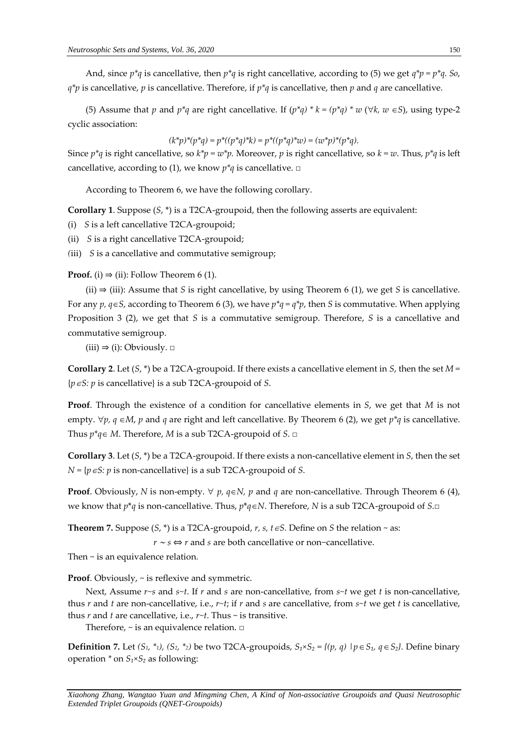And, since *p\*q* is cancellative, then *p\*q* is right cancellative, according to (5) we get *q\*p = p\*q*. *So*, *q\*p* is cancellative, *p* is cancellative. Therefore, if *p\*q* is cancellative, then *p* and *q* are cancellative.

(5) Assume that *p* and *p\*q* are right cancellative. If  $(p^*q) * k = (p^*q) * w (\forall k, w \in S)$ , using type-2 cyclic association:

$$
(k^*p)^*(p^*q) = p^*((p^*q)^*k) = p^*((p^*q)^*w) = (w^*p)^*(p^*q).
$$

Since  $p^*q$  is right cancellative, so  $k^*p = w^*p$ . Moreover, p is right cancellative, so  $k = w$ . Thus,  $p^*q$  is left cancellative, according to (1), we know  $p^*q$  is cancellative.  $\square$ 

According to Theorem 6, we have the following corollary.

**Corollary 1**. Suppose (*S*, \*) is a T2CA-groupoid, then the following asserts are equivalent:

- (i) *S* is a left cancellative T2CA-groupoid;
- (ii) *S* is a right cancellative T2CA-groupoid;
- *(*iii) *S* is a cancellative and commutative semigroup;

**Proof.** (i)  $\Rightarrow$  (ii): Follow Theorem 6 (1).

(ii) ⇒ (iii): Assume that *S* is right cancellative, by using Theorem 6 (1), we get *S* is cancellative. For any *p, qS*, according to Theorem 6 (3), we have *p\*q = q\*p*, then *S* is commutative. When applying Proposition 3 (2), we get that *S* is a commutative semigroup. Therefore, *S* is a cancellative and commutative semigroup.

 $(iii) \Rightarrow (i):$  Obviously.  $\Box$ 

**Corollary 2**. Let (*S*, \*) be a T2CA-groupoid. If there exists a cancellative element in *S*, then the set *M =*  {*pS: p* is cancellative} is a sub T2CA-groupoid of *S*.

**Proof**. Through the existence of a condition for cancellative elements in *S*, we get that *M* is not empty.  $\forall p, q \in M$ , *p* and *q* are right and left cancellative. By Theorem 6 (2), we get  $p^*q$  is cancellative. Thus  $p^*q \in M$ . Therefore, *M* is a sub T2CA-groupoid of *S*. □

**Corollary 3**. Let (*S*, \*) be a T2CA-groupoid. If there exists a non-cancellative element in *S*, then the set  $N = {p \in S: p \text{ is non-cancellation}}$  is a sub T2CA-groupoid of *S*.

**Proof**. Obviously, *N* is non-empty.  $\forall$  *p*, *q*∈*N*, *p* and *q* are non-cancellative. Through Theorem 6 (4), we know that  $p^*q$  is non-cancellative. Thus,  $p^*q \in N$ . Therefore, *N* is a sub T2CA-groupoid of *S*.□

**Theorem 7.** Suppose  $(S, * )$  is a T2CA-groupoid,  $r, s, t \in S$ . Define on *S* the relation  $\sim$  as:

*r* <sup>∼</sup> *s* ⇔ *r* and *s* are both cancellative or non−cancellative.

Then ~ is an equivalence relation*.*

**Proof.** Obviously,  $\sim$  is reflexive and symmetric.

Next, Assume *r~s* and *s~t*. If *r* and *s* are non-cancellative, from *s~t* we get *t* is non-cancellative, thus *r* and *t* are non-cancellative, i.e., *r~t*; if *r* and *s* are cancellative, from *s~t* we get *t* is cancellative, thus *r* and *t* are cancellative, i.e., *r~t*. Thus ~ is transitive.

Therefore,  $\sim$  is an equivalence relation.  $\Box$ 

**Definition 7.** Let  $(S_1, *_1)$ ,  $(S_2, *_2)$  be two T2CA-groupoids,  $S_1 \times S_2 = \{(p, q) \mid p \in S_1, q \in S_2\}$ . Define binary operation *\** on *S₁×S₂* as following: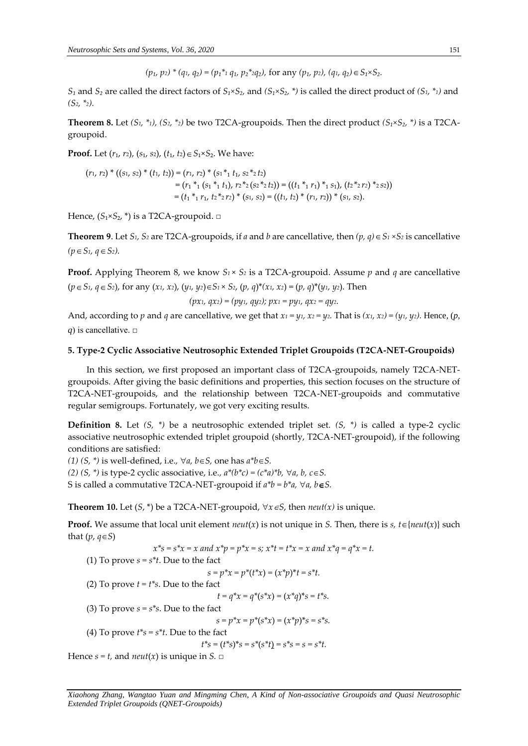*(p₁, p2) \* (q1, q₂) = (p₁\*<sup>1</sup> q₁, p₂\*2q₂),* for any *(p₁, p2), (q1, q₂) S₁×S₂.*

*S₁* and *S₂* are called the direct factors of *S₁×S₂,* and *(S₁×S₂, \*)* is called the direct product of *(S1, \*1)* and *(S2, \*2).* 

**Theorem 8.** Let  $(S_1, *_1)$ ,  $(S_2, *_2)$  be two T2CA-groupoids. Then the direct product  $(S_1 \times S_2, * )$  is a T2CAgroupoid.

**Proof.** Let (*r*₁, *r*2), (*s*₁, *s*2), (*t*₁, *t*2) *S*₁×*S*₂. We have:

$$
(r_1, r_2)^* ((s_1, s_2)^* (t_1, t_2)) = (r_1, r_2)^* (s_1^* t_1, s_2^* t_2)
$$
  
=  $(r_1^* (s_1^* t_1), r_2^* (s_2^* t_2)) = ((t_1^* t_1, t_1)^* (s_1, s_2), (t_2^* t_2, t_2))$   
=  $(t_1^* t_1, t_2^* t_2, t_2)^* (s_1, s_2) = ((t_1, t_2)^* (r_1, r_2))^* (s_1, s_2).$ 

Hence,  $(S_1 \times S_2, * )$  is a T2CA-groupoid. □

**Theorem 9**. Let *S*<sup>1</sup>, *S*<sup>2</sup> are T2CA-groupoids, if *a* and *b* are cancellative, then  $(p, q) \in S_1 \times S_2$  is cancellative  $(p \in S_1, q \in S_2)$ .

**Proof.** Applying Theorem 8, we know  $S_1 \times S_2$  is a T2CA-groupoid. Assume p and q are cancellative  $(p \in S_1, q \in S_2)$ , for any  $(x_1, x_2)$ ,  $(y_1, y_2) \in S_1 \times S_2$ ,  $(p, q)^*(x_1, x_2) = (p, q)^*(y_1, y_2)$ . Then

*(px1, qx2) = (py1, qy2); px<sup>1</sup> = py1, qx<sup>2</sup> = qy2.*

And, according to p and q are cancellative, we get that  $x_1 = y_1$ ,  $x_2 = y_2$ . That is  $(x_1, x_2) = (y_1, y_2)$ . Hence,  $(p, p)$ *q*) is cancellative. □

#### **5. Type-2 Cyclic Associative Neutrosophic Extended Triplet Groupoids (T2CA-NET-Groupoids)**

In this section, we first proposed an important class of T2CA-groupoids, namely T2CA-NETgroupoids. After giving the basic definitions and properties, this section focuses on the structure of T2CA-NET-groupoids, and the relationship between T2CA-NET-groupoids and commutative regular semigroups. Fortunately, we got very exciting results.

**Definition 8.** Let *(S, \*)* be a neutrosophic extended triplet set. *(S, \*)* is called a type-2 cyclic associative neutrosophic extended triplet groupoid (shortly, T2CA-NET-groupoid), if the following conditions are satisfied:

*(1)*  $(S, * )$  is well-defined, i.e.,  $\forall a, b \in S$ , one has  $a^*b \in S$ . *(2)*  $(S, * )$  is type-2 cyclic associative, i.e.,  $a*(b*c) = (c*a)*b$ ,  $\forall a, b, c \in S$ . S is called a commutative T2CA-NET-groupoid if  $a^*b = b^*a$ ,  $\forall a, b \in S$ .

**Theorem 10.** Let  $(S, * )$  be a T2CA-NET-groupoid,  $\forall x \in S$ , then *neut*(*x*) is unique.

**Proof.** We assume that local unit element  $neut(x)$  is not unique in *S*. Then, there is *s*,  $t \in \{neut(x)\}$  such that  $(p, q \in S)$ 

 $x^*s = s^*x = x$  and  $x^*p = p^*x = s$ ;  $x^*t = t^*x = x$  and  $x^*q = q^*x = t$ . (1) To prove  $s = s^*t$ . Due to the fact  $s = p^*x = p^*(t^*x) = (x^*p)^*t = s^*t.$ (2) To prove  $t = t^*s$ . Due to the fact  $t = q^*x = q^*(s^*x) = (x^*q)^*s = t^*s.$ (3) To prove  $s = s<sup>*</sup>s$ . Due to the fact  $s = p^*x = p^*(s^*x) = (x^*p)^*s = s^*s.$ (4) To prove *t\*s = s\*t*. Due to the fact  $t^*s = (t^*s)^*s = s^*(s^*t) = s^*s = s = s^*t.$ Hence  $s = t$ , and *neut*(*x*) is unique in  $S$ .  $\Box$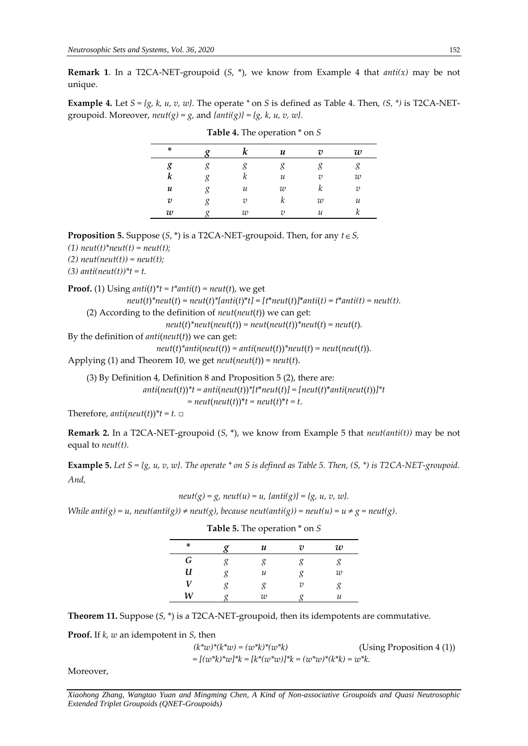**Remark 1**. In a T2CA-NET-groupoid (*S*, \*), we know from Example 4 that *anti(x)* may be not unique.

**Example 4.** Let  $S = \{g, k, u, v, w\}$ . The operate  $*$  on *S* is defined as Table 4. Then,  $(S, *)$  is T2CA-NETgroupoid. Moreover,  $neut(g) = g$ , and  $\{anti(g)\} = \{g, k, u, v, w\}$ .

| *                |                | u  | 7)             | w              |
|------------------|----------------|----|----------------|----------------|
| g                |                |    |                |                |
| k                | n              | и  | $\overline{v}$ | w              |
| u                | и              | w  |                | $\overline{v}$ |
| $\boldsymbol{v}$ | $\overline{v}$ | κ  | w              | и              |
| w                | w              | 71 | и              |                |

**Table 4.** The operation \* on *S*

**Proposition 5.** Suppose (*S*, \*) is a T2CA-NET-groupoid. Then, for any *t S,*

 $(1)$  *neut*(*t*)<sup>\*</sup>*neut*(*t*) = *neut*(*t*);

 $(2)$  *neut*(*neut*(*t*)) = *neut*(*t*);

*(3)*  $anti(neut(t))$ <sup>\*</sup> $t = t$ .

**Proof.** (1) Using *anti*(*t*)<sup>\*</sup> $t = t^*$ *anti*(*t*) = *neut*(*t*), we get

 $neut(t)$ <sup>\*</sup> $neut(t) = neut(t)$ <sup>\*</sup> $[anti(t)$ <sup>\*</sup> $t] = [t$ <sup>\*</sup> $neut(t)]$ <sup>\*</sup> $anti(t) = t$ <sup>\*</sup> $anti(t) = neut(t)$ . (2) According to the definition of *neut*(*neut*(*t*)) we can get:

 $neut(t)$ <sup>\*</sup> $neut(neut(t))$  =  $neut(neut(t))$ <sup>\*</sup> $neut(t)$  =  $neut(t)$ *.* 

By the definition of *anti*(*neut*(*t*)) we can get:

$$
neut(t)^*anti(newt(t)) = anti(newt(t))^*neut(t) = neut(newt(t)).
$$

Applying (1) and Theorem 10, we get *neut*(*neut*(*t*)) = *neut*(*t*).

(3) By Definition 4, Definition 8 and Proposition 5 (2), there are: *anti*( $neut(t)$ )\* $t = anti(neut(t))$ \*[ $t*neut(t)$ ] = [ $neut(t)*ant($  $neut(t))$ ]\* $t$  $=$  *neut*(*neut*(*t*))\**t* = *neut*(*t*)\**t* = *t*.

Therefore,  $anti(new(t))^*t = t$ .  $\Box$ 

**Remark 2***.* In a T2CA-NET-groupoid (*S*, \*), we know from Example 5 that *neut(anti(t))* may be not equal to *neut(t).*

**Example 5.** *Let S = {g, u, v, w}. The operate \* on S is defined as Table 5. Then, (S, \*) is T2CA-NET-groupoid. And,* 

$$
neut(g) = g, neut(u) = u, \{anti(g)\} = \{g, u, v, w\}.
$$

*While anti(g)* = *u*, *neut(anti(g))*  $\neq$  *neut(g)*, *because neut(anti(g))* = *neut(u)* =  $u \neq g$  = *neut(g).* 

| * |   | $\boldsymbol{\mathcal{u}}$ | $\boldsymbol{v}$ | w |
|---|---|----------------------------|------------------|---|
| G |   | g                          |                  |   |
| U | g | и                          | 8                | w |
| V | g | g                          | υ                |   |
| W |   | w                          |                  | и |

|  |  |  |  |  | <b>Table 5.</b> The operation $^*$ on $S$ |  |  |  |  |
|--|--|--|--|--|-------------------------------------------|--|--|--|--|
|--|--|--|--|--|-------------------------------------------|--|--|--|--|

**Theorem 11.** Suppose (*S*, \*) is a T2CA-NET-groupoid, then its idempotents are commutative.

**Proof.** If *k, w* an idempotent in *S*, then

$$
(k^*w)^*(k^*w) = (w^*k)^*(w^*k)
$$
 (Using Proposition 4 (1))  
=  $[(w^*k)^*w]^*k = [k^*(w^*w)]^*k = (w^*w)^*(k^*k) = w^*k$ .

Moreover,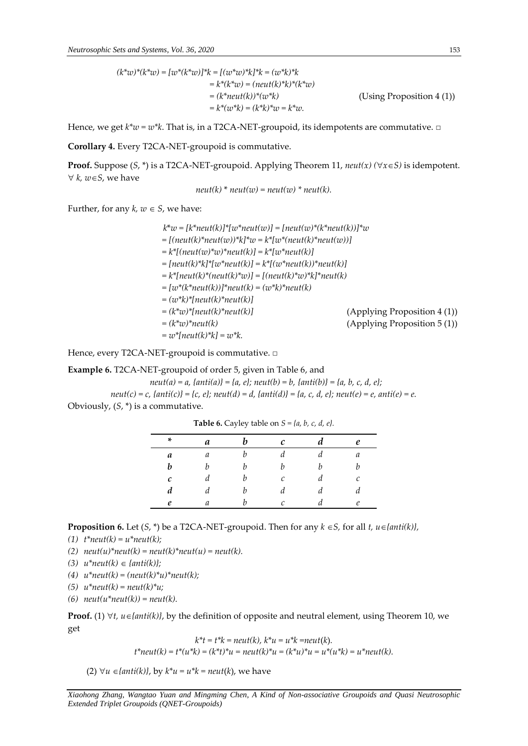$$
(k^*w)^*(k^*w) = [w^*(k^*w)]^*k = [(w^*w)^*k]^*k = (w^*k)^*k
$$
  
\n
$$
= k^*(k^*w) = (neut(k)^*k)^*(k^*w)
$$
  
\n
$$
= (k^*neut(k))^*(w^*k)
$$
  
\n
$$
= k^*(w^*k) = (k^*k)^*w = k^*w.
$$
 (Using Proposition 4 (1))  
\n
$$
= k^*(w^*k) = (k^*k)^*w = k^*w.
$$

Hence, we get *k\*w = w\*k*. That is, in a T2CA-NET-groupoid, its idempotents are commutative. **□**

**Corollary 4.** Every T2CA-NET-groupoid is commutative.

**Proof.** Suppose  $(S, * )$  is a T2CA-NET-groupoid. Applying Theorem 11, *neut(x)*  $(\forall x \in S)$  is idempotent.  $\forall k, w \in S$ , we have

$$
neut(k) * neut(w) = neut(w) * neut(k).
$$

Further, for any  $k, w \in S$ , we have:

*k*\**w = [k\*neut(k)]\*[w\*neut(w)] = [neut(w)\*(k\*neut(k))]\*w*  $= [(neut(k)*neut(w))*k]*w = k*[w*(neut(k)*neut(w))]$ *= k\*[(neut(w)\*w)\*neut(k)] = k\*[w\*neut(k)] = [neut(k)\*k]\*[w\*neut(k)] = k\*[(w\*neut(k))\*neut(k)] = k\*[neut(k)\*(neut(k)\*w)] = [(neut(k)\*w)\*k]\*neut(k) = [w\*(k\*neut(k))]\*neut(k) = (w\*k)\*neut(k) = (w\*k)\*[neut(k)\*neut(k)] = (k\*w)\*[neut(k)\*neut(k)]* (Applying Proposition 4 (1)) *= (k\*w)\*neut(k)* (Applying Proposition 5 (1))  $= w^*[neut(k)^*k] = w^*k.$ 

Hence, every T2CA-NET-groupoid is commutative. **□**

**Example 6.** T2CA-NET-groupoid of order 5, given in Table 6, and

 $neut(a) = a, \{anti(a)\} = \{a, e\}$ ;  $neut(b) = b, \{anti(b)\} = \{a, b, c, d, e\}$ ;  $neut(c) = c, \{anti(c)\} = \{c, e\}$ ;  $neut(d) = d, \{anti(d)\} = \{a, c, d, e\}$ ;  $neut(e) = e, anti(e) = e$ . Obviously, (*S*, \*) is a commutative.

|              | - -<br>$\sim$ |   |              | $\cdots$ , $\cdots$ , $\cdots$ , $\cdots$ , $\cdots$ |   |
|--------------|---------------|---|--------------|------------------------------------------------------|---|
| *            | a             | h | $\mathcal C$ | d                                                    | e |
| a            | а             | b | d            | d                                                    | a |
| b            | h             | h | h            | b                                                    | h |
| $\mathcal C$ | d             | b | C            | d                                                    | С |
| d            | d             | b | d            | d                                                    | d |
| e            | a             | h | C            | d                                                    | e |

**Table 6.** Cayley table on *S = {a, b, c, d, e}.*

**Proposition 6.** Let  $(S, * )$  be a T2CA-NET-groupoid. Then for any  $k \in S$ , for all  $t, u \in \{ant(k) \}$ ,

*(1) t\*neut(k) = u\*neut(k);*

(2)  $neut(u)*neut(k) = neut(k)*neut(u) = neut(k).$ 

- *(3)*  $u^*neut(k) \in \{anti(k) \};$
- *(4) u\*neut(k) = (neut(k)\*u)\*neut(k);*
- *(5) u\*neut(k) = neut(k)\*u;*
- *(6) neut(u\*neut(k)) = neut(k).*

**Proof.** (1)  $\forall t$ ,  $u \in \{anti(k)\}$ , by the definition of opposite and neutral element, using Theorem 10, we get

$$
k^*t = t^*k = neut(k), k^*u = u^*k = neut(k).
$$
  

$$
t^*neut(k) = t^*(u^*k) = (k^*t)^*u = neut(k)^*u = (k^*u)^*u = u^*(u^*k) = u^*neut(k).
$$

(2)  $\forall u \in \{anti(k)\},$  by  $k^*u = u^*k = neut(k)$ , we have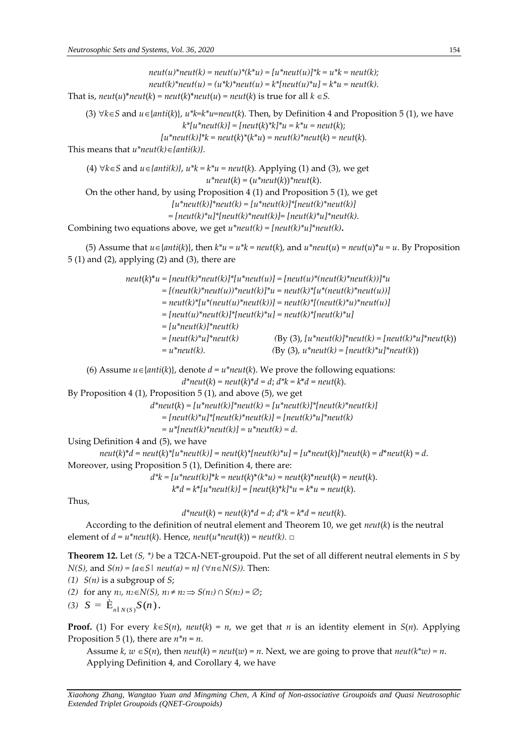$neut(u)^*neut(k) = neut(u)^*(k^*u) = [u^*neut(u)]^*k = u^*k = neut(k);$  $neut(k)^*neut(u) = (u^*k)^*neut(u) = k^*[neut(u)^*u] = k^*u = neut(k).$ That is,  $neut(u)^*neut(k) = neut(k)^*neut(u) = neut(k)$  is true for all  $k \in S$ . (3)  $\forall k \in S$  and  $u \in \{antik\}$ ,  $u^*k=k^*u=neut(k)$ . Then, by Definition 4 and Proposition 5 (1), we have  $k^{*}[u^{*}neut(k)] = [neut(k)^{*}k]^{*}u = k^{*}u = neut(k);$  $[u^*neut(k)]^*k = neut(k)^*(k^*u) = neut(k)^*neut(k) = neut(k).$ This means that  $u^*neut(k) \in \{anti(k)\}.$ (4)  $\forall k \in S$  and  $u \in \{anti(k)\}, u^*k = k^*u = neut(k)$ . Applying (1) and (3), we get  $u^*$ neut(*k*) =  $(u^*$ neut(*k*))<sup>\*</sup>neut(*k*). On the other hand, by using Proposition 4 (1) and Proposition 5 (1), we get  $[u^*neut(k)]^*neut(k) = [u^*neut(k)]^*[neut(k)^*neut(k)]$ *= [neut(k)\*u]\*[neut(k)\*neut(k)]= [neut(k)\*u]\*neut(k).* Combining two equations above, we get *u\*neut(k) = [neut(k)\*u]\*neut(k)***.** (5) Assume that  $u \in \{anti(k)\}\)$ , then  $k^*u = u^*k = neut(k)$ , and  $u^*neut(u) = neut(u)^*u = u$ . By Proposition 5 (1) and (2), applying (2) and (3), there are  $neut(k)^*u = [neut(k)^*neut(k)]*[u^*neut(u)] = [neut(u)^*(neut(k))^*neut(k))]$ <sup>\*</sup>u  $= [(neut(k)*neut(u))*neut(k)]*u = neut(k)*[u*(neut(k)*neut(u))]$  $=$  *neut*(k)\*[ $u^*(neut(u)^*neut(k))$ ] =  $neut(k)^*[neut(k)^*u)^*neut(u)]$ *= [neut(u)\*neut(k)]\*[neut(k)\*u] = neut(k)\*[neut(k)\*u]*   $=[u^*neut(k)]^*neut(k)$  $= [neut(k)^*u]^*neut(k)$  (By (3),  $[u^*neut(k)]^*neut(k) = [neut(k)^*u]^*neut(k)$ )  $= u^*neut(k)$ . (By (3),  $u^*neut(k) = [neut(k)^*u]^*neut(k)$ ) (6) Assume  $u \in \{anti(k)\}\text{,}$  denote  $d = u^*neut(k)\text{.}$  We prove the following equations:  $d^*neut(k) = neut(k)^*d = d$ ;  $d^*k = k^*d = neut(k)$ . By Proposition 4 (1), Proposition 5 (1), and above (5), we get  $d^*neut(k) = [u^*neut(k)]^*neut(k) = [u^*neut(k)]^*[neut(k)^*neut(k)]$  *= [neut(k)\*u]\*[neut(k)\*neut(k)] = [neut(k)\*u]\*neut(k)*  $= u^*[neut(k)^*neut(k)] = u^*neut(k) = d.$ Using Definition 4 and (5), we have  $neut(k)*d = neut(k)*[u*neut(k)] = neut(k)*[neut(k)*u] = [u*neut(k)*neut(k)] = d*neut(k) = d.$ Moreover, using Proposition 5 (1), Definition 4, there are:  $d^*k = [u^*neut(k)]^*k = neut(k)^*(k^*u) = neut(k)^*neut(k) = neut(k).$  $k^*d = k^*[u^*neut(k)] = [neut(k)^*k]^*u = k^*u = neut(k).$ Thus,  $d^*neut(k) = neut(k)^*d = d$ ;  $d^*k = k^*d = neut(k)$ . According to the definition of neutral element and Theorem 10, we get *neut*(*k*) is the neutral element of  $d = u^*neut(k)$ . Hence,  $neut(u^*neut(k)) = neut(k)$ .  $\Box$ **Theorem 12.** Let *(S, \*)* be a T2CA-NET-groupoid. Put the set of all different neutral elements in *S* by *N(S),* and  $S(n) = {a \in S \mid neutral(a) = n} (\forall n \in N(S))$ . Then:

- *(1) S(n)* is a subgroup of *S*;
- *(2)* for any  $n_1$ ,  $n_2 \in N(S)$ ,  $n_1 \neq n_2 \implies S(n_1) \cap S(n_2) = ∅$ ;
- (3)  $S = \dot{E}_{n \hat{I} N(S)} S(n)$ .

**Proof.** (1) For every  $k \in S(n)$ , *neut*( $k$ ) = *n*, we get that *n* is an identity element in *S*(*n*). Applying Proposition 5 (1), there are  $n^*n = n$ .

Assume  $k, w \in S(n)$ , then *neut*( $k$ ) = *neut*( $w$ ) = *n*. Next, we are going to prove that *neut*( $k^*w$ ) = *n*. Applying Definition 4, and Corollary 4, we have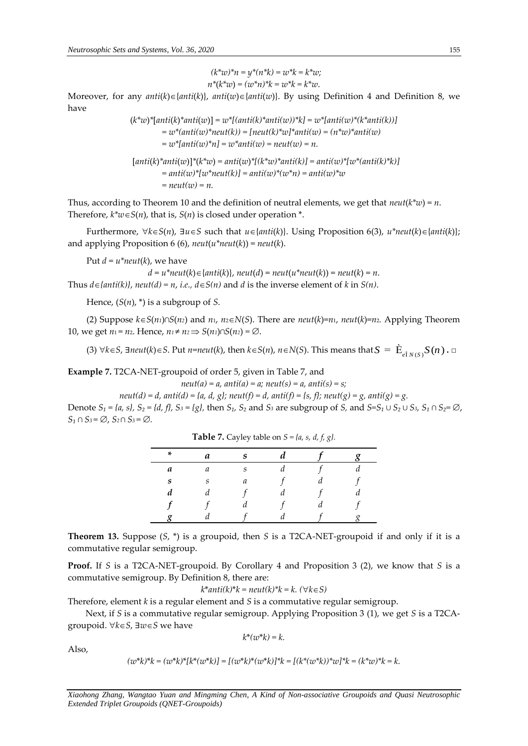$$
(k^*w)^*n = y^*(n^*k) = w^*k = k^*w;
$$
  

$$
n^*(k^*w) = (w^*n)^*k = w^*k = k^*w.
$$

Moreover, for any  $anti(k) \in \{anti(k)\}$ ,  $anti(w) \in \{anti(w)\}$ . By using Definition 4 and Definition 8, we have

> $(k^*w)^*$ [anti $(k)^*$ anti $(w)$ ] =  $w^*[$ (anti $(k)^*$ anti $(w)$ )\* $k$ ] =  $w^*[$ anti $(w)^*(k^*$ anti $(k))$ ]  $= w^*(anti(w)^*neut(k)) = [neut(k)^*w]^*anti(w) = (n^*w)^*anti(w)$  $= w^*[anti(w)^*n] = w^*anti(w) = neutr(v) = n.$  $[anti(k)*anti(w)]*(k*x) = anti(w)*[(k*x)*anti(k)] = anti(w)*[w*(anti(k)*k)]$  $=$  anti(w)\*[w\*neut(k)] = anti(w)\*(w\*n) = anti(w)\*w

Thus, according to Theorem 10 and the definition of neutral elements, we get that  $neut(k*x) = n$ . Therefore,  $k^*w \in S(n)$ , that is,  $S(n)$  is closed under operation  $*$ .

Furthermore,  $\forall k \in S(n)$ ,  $\exists u \in S$  such that  $u \in \{anti(k)\}\)$ . Using Proposition 6(3),  $u^*neut(k) \in \{anti(k)\}\$ ; and applying Proposition 6 (6),  $neut(u^*neut(k)) = neut(k)$ .

Put  $d = u^*neut(k)$ , we have

 $d = u^*neut(k) \in \{anti(k)\},$   $neut(d) = neut(u^*neut(k)) = neut(k) = n.$ Thus  $d \in \{anti(k)\},$   $neut(d) = n$ , *i.e.*,  $d \in S(n)$  and *d* is the inverse element of *k* in *S(n)*.

Hence, (*S*(*n*), \*) is a subgroup of *S*.

(2) Suppose  $k ∈ S(n_1) ∩ S(n_2)$  and  $n_1$ ,  $n_2 ∈ N(S)$ . There are  $neut(k)=n_1$ ,  $neut(k)=n_2$ . Applying Theorem 10, we get  $n_1 = n_2$ . Hence,  $n_1 \neq n_2 \Rightarrow S(n_1) \cap S(n_2) = \emptyset$ .

(3) ∀ $k \in S$ , ∃*neut*( $k$ )∈S. Put *n*=*neut*( $k$ ), then  $k \in S(n)$ ,  $n \in N(S)$ . This means that  $S = \dot{E}_{e\hat{i}N(S)}S(n)$ . □

**Example 7.** T2CA-NET-groupoid of order 5, given in Table 7, and

*= neut(w) = n.*

 $neut(a) = a$ ,  $anti(a) = a$ ;  $neut(s) = a$ ,  $anti(s) = s$ ;

*neut(d)* = *d,* anti(*d*) = { $a$ , *d,*  $g$ }; neut(*f*) = *d,* anti(*f*) = { $s$ , *f*}; neut(*g*) =  $g$ , anti(*g*) =  $g$ . Denote  $S_1 = \{a, s\}$ ,  $S_2 = \{d, f\}$ ,  $S_3 = \{g\}$ , then  $S_1$ ,  $S_2$  and  $S_3$  are subgroup of *S*, and  $S = S_1 ∪ S_2 ∪ S_3$ ,  $S_1 ∩ S_2 = ∅$ ,  $S_1$  ∩  $S_3 = \emptyset$ ,  $S_2$  ∩  $S_3 = \emptyset$ .

| * | a | c |   |  |
|---|---|---|---|--|
| a | a | S | u |  |
| S | S | а |   |  |
|   | и |   | и |  |
|   |   | и |   |  |
|   |   |   |   |  |

**Table 7.** Cayley table on  $S = \{a, s, d, f, g\}$ .

**Theorem 13.** Suppose (*S*, \*) is a groupoid, then *S* is a T2CA-NET-groupoid if and only if it is a commutative regular semigroup.

**Proof.** If *S* is a T2CA-NET-groupoid. By Corollary 4 and Proposition 3 (2), we know that *S* is a commutative semigroup. By Definition 8, there are:

$$
k^*anti(k)^*k = neut(k)^*k = k. \ (\forall k \in S)
$$

Therefore, element *k* is a regular element and *S* is a commutative regular semigroup.

Next, if *S* is a commutative regular semigroup. Applying Proposition 3 (1), we get *S* is a T2CAgroupoid.  $∀k∈S$ ,  $∃w∈S$  we have  $k^*(uv^*k) = k$ 

Also,

 $(w^*k)^*k = (w^*k)^*[k^*(w^*k)] = [(w^*k)^*(w^*k)]^*k = [(k^*(w^*k))^*w]^*k = (k^*w)^*k = k.$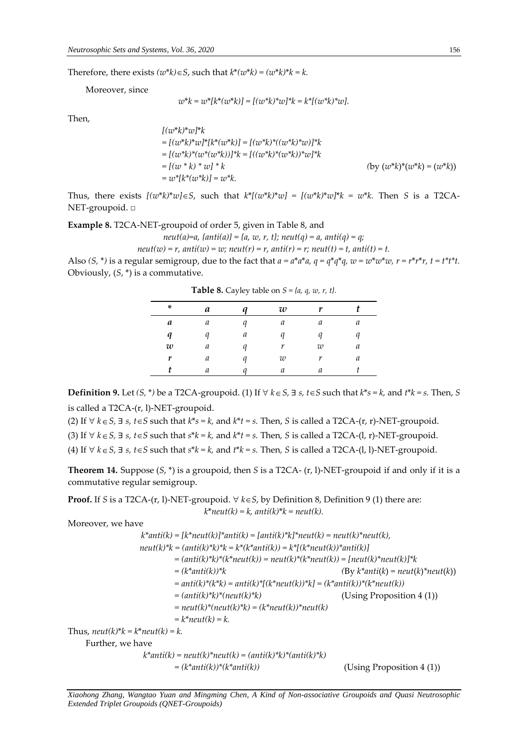Therefore, there exists  $(w^*k) \in S$ , such that  $k^*(w^*k) = (w^*k)^*k = k$ .

Moreover, since

$$
w^*k = w^*[k^*(w^*k)] = [(w^*k)^*w]^*k = k^*[(w^*k)^*w].
$$

Then,

*[(w*\**k)*\**w]*\**k = [(w*\**k)*\**w]*\**[k*\**(w*\**k)] = [(w\*k)\*((w\*k)\*w)]\*k = [(w\*k)\*(w\*(w\*k))]\*k = [((w\*k)\*(w\*k))\*w]\*k*  $=[(w * k) * w] * k$  (by  $(w * k) * (w * k) = (w * k)$ )  $= w^* [k^*(w^*k)] = w^*k$ .

Thus, there exists  $[(w^*k)^*w]\in S$ , such that  $k^*[ (w^*k)^*w] = [(w^*k)^*w]^*k = w^*k$ . Then *S* is a T2CA-NET-groupoid. □

**Example 8.** T2CA-NET-groupoid of order 5, given in Table 8, and

$$
neut(a)=a, \{anti(a)\} = \{a, w, r, t\}; \, neut(q) = a, \,anti(q) = q;
$$

 $neut(w) = r$ ,  $anti(w) = w$ ;  $neut(r) = r$ ,  $anti(r) = r$ ;  $neut(t) = t$ ,  $anti(t) = t$ .

Also  $(S, * )$  is a regular semigroup, due to the fact that  $a = a^*a^*a$ ,  $q = q^*q^*q$ ,  $w = w^*w^*w$ ,  $r = r^*r^*r$ ,  $t = t^*t^*t$ . Obviously, (*S*, \*) is a commutative.

| * | a |   | w | v |   |
|---|---|---|---|---|---|
| a | a | a | а | а | a |
| q | a | a | a |   |   |
| w | а |   | r | w | а |
| r | a | a | w | r | а |
|   | a |   | а |   |   |

**Table 8.** Cayley table on  $S = \{a, q, w, r, t\}$ .

**Definition 9.** Let  $(S, * )$  be a T2CA-groupoid. (1) If ∀  $k ∈ S$ , ∃  $s$ ,  $t ∈ S$  such that  $k * s = k$ , and  $t * k = s$ . Then, S is called a T2CA-(r, l)-NET-groupoid.

(2) If  $∀$  *k* ∈ *S*, ∃ *s*, *t* ∈ *S* such that *k*\**s* = *k*, and *k*\**t* = *s*. Then, *S* is called a T2CA-(r, r)-NET-groupoid.

(3) If  $∀$  *k* ∈ *S*, ∃ *s*, *t* ∈ *S* such that *s*\**k* = *k*, and *k*\**t* = *s*. Then, *S* is called a T2CA-(l, r)-NET-groupoid.

(4) If  $∀$   $k ∈ S$ ,  $∃$   $s$ ,  $t ∈ S$  such that  $s*k = k$ , and  $t*k = s$ . Then, S is called a T2CA-(l, l)-NET-groupoid.

**Theorem 14.** Suppose (*S*, \*) is a groupoid, then *S* is a T2CA- (r, l)-NET-groupoid if and only if it is a commutative regular semigroup.

**Proof.** If *S* is a T2CA-(r, l)-NET-groupoid.  $\forall$   $k \in S$ , by Definition 8, Definition 9 (1) there are:  $k^*$ *neut*(*k*) = *k*, anti(*k*)\* $k =$  neut(*k*).

Moreover, we have

 $k^*$ anti(k) = [ $k^*$ neut(k)]\*anti(k) = [anti(k)\* $k^*$ neut(k) = neut(k)\*neut(k),  $neut(k)*k = (anti(k)*k)*k = k*(k*anti(k)) = k*[(k*neut(k))*anti(k))]$ *= (anti(k)\*k)\*(k\*neut(k)) = neut(k)\*(k\*neut(k)) = [neut(k)\*neut(k)]\*k = (k\*anti(k))\*k (*By *k\*anti*(*k*) *= neut*(*k*)*\*neut*(*k*)) *= anti(k)\*(k\*k) = anti(k)\*[(k\*neut(k))\*k] = (k\*anti(k))\*(k\*neut(k)) = (anti(k)\*k)\*(neut(k)\*k)* (Using Proposition 4 (1))  $=$  *neut*(k)\*(*neut*(k)\*k) = (k\**neut*(k))\* *neut*(k) *= k\*neut(k) = k.* Thus,  $neut(k)*k = k*neut(k) = k$ . Further, we have  $k^*$ anti(k) = neut(k)\*neut(k) = (anti(k)\*k)\*(anti(k)\*k)  $= (k^*anti(k))^*(k^*anti(k))$  (Using Proposition 4 (1))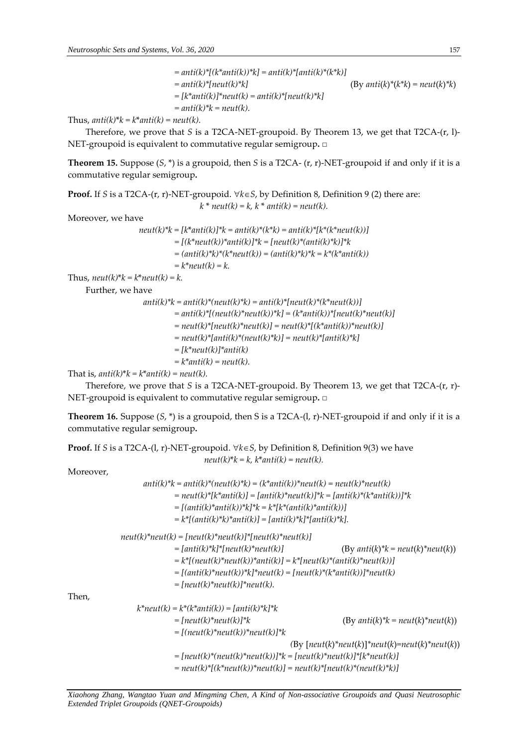*= anti(k)\*[(k\*anti(k))\*k] = anti(k)\*[anti(k)\*(k\*k)] = anti(k)\*[neut(k)\*k]* (By *anti*(*k*)*\**(*k\*k*) *= neut*(*k*)*\*k*) *= [k\*anti(k)]\*neut(k) = anti(k)\*[neut(k)\*k]*   $=$  anti(k)<sup>\*</sup> $k$  = neut(k).

Thus,  $anti(k)*k = k*anti(k) = neut(k)$ .

Therefore, we prove that *S* is a T2CA-NET-groupoid. By Theorem 13, we get that T2CA-(r, l)- NET-groupoid is equivalent to commutative regular semigroup**.** □

**Theorem 15.** Suppose (*S*, \*) is a groupoid, then *S* is a T2CA- (r, r)-NET-groupoid if and only if it is a commutative regular semigroup**.**

**Proof.** If *S* is a T2CA-(r, r)-NET-groupoid.  $\forall k \in S$ , by Definition 8, Definition 9 (2) there are:  $k^*$  *neut*( $k$ ) =  $k$ ,  $k^*$  *anti*( $k$ ) = *neut*( $k$ ).

Moreover, we have

 $neut(k)*k = [k*anti(k)]*k = anti(k)*k(k*k) = anti(k)*[k*(k*neut(k))]$ *= [(k\*neut(k))\*anti(k)]\*k = [neut(k)\*(anti(k)\*k)]\*k = (anti(k)\*k)\*(k\*neut(k)) = (anti(k)\*k)\*k = k\*(k\*anti(k))*  $=k^*$ *neut*( $k$ ) =  $k$ .

Thus,  $neut(k)*k = k*neut(k) = k$ .

Further, we have

 $anti(k)*k = anti(k)*(neut(k)*k) = anti(k)*[neut(k)*(neut(k))]$ *= anti(k)\*[(neut(k)\*neut(k))\*k] = (k\*anti(k))\*[neut(k)\*neut(k)]*   $=$  neut(k)\*[neut(k)\*neut(k)] = neut(k)\*[(k\*anti(k))\*neut(k)] *= neut(k)\*[anti(k)\*(neut(k)\*k)] = neut(k)\*[anti(k)\*k] = [k\*neut(k)]\*anti(k)*  $=k^*$ *anti*(*k*) = *neut*(*k*).

That is,  $anti(k)*k = k*anti(k) = neut(k)$ .

Therefore, we prove that *S* is a T2CA-NET-groupoid. By Theorem 13, we get that T2CA-(r, r)- NET-groupoid is equivalent to commutative regular semigroup**.** □

**Theorem 16.** Suppose (*S*, \*) is a groupoid, then S is a T2CA-(l, r)-NET-groupoid if and only if it is a commutative regular semigroup**.**

**Proof.** If *S* is a T2CA-(l, r)*-*NET-groupoid. *kS*, by Definition 8, Definition 9(3) we have  $neut(k)*k = k$ ,  $k*anti(k) = neut(k)$ .

Moreover,

Then,

 *anti(k)\*k = anti(k)\*(neut(k)\*k) = (k\*anti(k))\*neut(k) = neut(k)\*neut(k) = neut(k)\*[k\*anti(k)] = [anti(k)\*neut(k)]\*k = [anti(k)\*(k\*anti(k))]\*k = [(anti(k)\*anti(k))\*k]\*k = k\*[k\*(anti(k)\*anti(k))] = k\*[(anti(k)\*k)\*anti(k)] = [anti(k)\*k]\*[anti(k)\*k].*  $neut(k)^*neut(k) = [neut(k)^*neut(k)]*[neut(k)^*neut(k)]$ *= [anti(k)\*k]\*[neut(k)\*neut(k)]* (By *anti*(*k*)*\*k = neut*(*k*)*\*neut*(*k*)) *= k\*[(neut(k)\*neut(k))\*anti(k)] = k\*[neut(k)\*(anti(k)\*neut(k))] = [(anti(k)\*neut(k))\*k]\*neut(k) = [neut(k)\*(k\*anti(k))]\*neut(k) = [neut(k)\*neut(k)]\*neut(k). k\*neut(k) = k\*(k\*anti(k)) = [anti(k)\*k]\*k = [neut(k)\*neut(k)]\*k* (By *anti*(*k*)*\*k = neut*(*k*)*\*neut*(*k*)) *= [(neut(k)\*neut(k))\*neut(k)]\*k (*By [*neut*(*k*)*\*neut*(*k*)]*\*neut*(*k*)*=neut*(*k*)*\*neut*(*k*))  $= [neut(k)*(neut(k)*neut(k))]$ \* $k = [neut(k)*neut(k)]$ \*[k\*neut(k)] *= neut(k)\*[(k\*neut(k))\*neut(k)] = neut(k)\*[neut(k)\*(neut(k)\*k)]*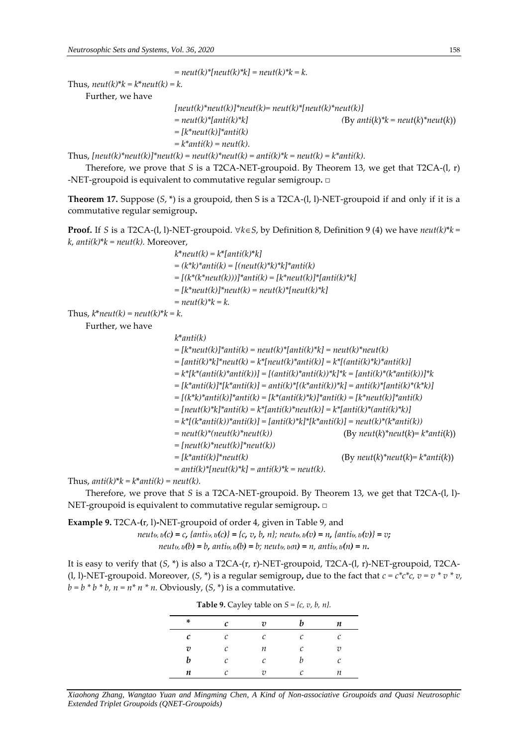$=$  *neut*(*k*)\*[ $neut(k)$ \* $k$ ] =  $neut(k)$ \* $k = k$ .

Thus,  $neut(k)*k = k*neut(k) = k$ .

Further, we have

```
[neut(k)*neut(k)]*neut(k)=neut(k)*[neut(k)*neut(k)]= neut(k)*[anti(k)*k] (By anti(k)*k = neut(k)*neut(k))
= [k*neut(k)]*anti(k)
=k^*anti(k) = neut(k).
```
Thus,  $[neut(k)*neut(k)]*neut(k) = neut(k)*neut(k) = anti(k)*k = neut(k) = k*anti(k).$ 

Therefore, we prove that *S* is a T2CA-NET-groupoid. By Theorem 13, we get that T2CA-(l, r) -NET-groupoid is equivalent to commutative regular semigroup**.** □

**Theorem 17.** Suppose (*S*, \*) is a groupoid, then S is a T2CA-(l, l)-NET-groupoid if and only if it is a commutative regular semigroup**.**

**Proof.** If *S* is a T2CA-(l, l)-NET-groupoid.  $\forall k \in S$ , by Definition 8, Definition 9 (4) we have *neut*(k)\* $k =$  $k$ , anti(k)\* $k$  = neut(k). Moreover,

| $k^*neut(k) = k^*[anti(k)^*k]$                          |
|---------------------------------------------------------|
| $=(k*k)^*$ anti $(k)=[(neut(k)^*k)^*k]^*$ anti $(k)$    |
| $=$ [(k*(k*neut(k)))]*anti(k) = [k*neut(k)]*[anti(k)*k] |
| $= [k^*neut(k)]^*neut(k) = neut(k)^*[neut(k)^*k].$      |
| $=$ neut(k)* $k = k$ .                                  |

Thus,  $k^*$ *neut*( $k$ ) = *neut*( $k$ )\* $k = k$ .

Further, we have

*k*\**anti(k) = [k\*neut(k)]\*anti(k) = neut(k)\*[anti(k)\*k] = neut(k)\*neut(k) = [anti(k)\*k]\*neut(k) = k\*[neut(k)\*anti(k)] = k\*[(anti(k)\*k)\*anti(k)] = k\*[k\*(anti(k)\*anti(k))] = [(anti(k)\*anti(k))\*k]\*k = [anti(k)\*(k\*anti(k))]\*k = [k\*anti(k)]\*[k\*anti(k)] = anti(k)\*[(k\*anti(k))\*k] = anti(k)\*[anti(k)\*(k\*k)] = [(k\*k)\*anti(k)]\*anti(k) = [k\*(anti(k)\*k)]\*anti(k) = [k\*neut(k)]\*anti(k) = [neut(k)\*k]\*anti(k) = k\*[anti(k)\*neut(k)] = k\*[anti(k)\*(anti(k)\*k)]*  $=k^{*}[(k^{*}anti(k))^{*}anti(k)]=[anti(k)^{*}k]^{*}[k^{*}anti(k)]=neut(k)^{*}(k^{*}anti(k))$ *= neut(k)\*(neut(k)\*neut(k))* (By *neut*(*k*)*\*neut*(*k*)*= k\*anti*(*k*)) *= [neut(k)\*neut(k)]\*neut(k)) = [k\*anti(k)]\*neut(k)* (By *neut*(*k*)*\*neut*(*k*)*= k\*anti*(*k*))  $=$  anti(k)\*[neut(k)\*k] = anti(k)\*k = neut(k).

Thus,  $anti(k)*k = k*anti(k) = neut(k)$ .

Therefore, we prove that *S* is a T2CA-NET-groupoid. By Theorem 13, we get that T2CA-(l, l)- NET-groupoid is equivalent to commutative regular semigroup**.** □

**Example 9.** T2CA-**(**r, l)**-**NET-groupoid of order 4, given in Table 9, and neut<sub>(r, 1)</sub>(c) = c, {anti(r, 1)(c)} = {c, v, b, n}; neut(r, 1)(v) = n, {anti(r, 1)(v)} = v; neut<sub>(r, l)</sub>(b) = b, anti(r, l)(b) = b; neut(r, l)(n) = n, anti(r, l)(n) = n.

It is easy to verify that (*S*, \*) is also a T2CA-(r, r)-NET-groupoid, T2CA-(l, r)-NET-groupoid, T2CA- (l, l)-NET-groupoid. Moreover,  $(S, * )$  is a regular semigroup, due to the fact that  $c = c * c * c$ ,  $v = v * v * v$ ,  $b = b * b * b$ ,  $n = n * n * n$ . Obviously,  $(S, *)$  is a commutative.

|   | <b>THEIR</b> 3. Cay ity table on $\sigma$ (c, c, c, ii). |                |   |                       |
|---|----------------------------------------------------------|----------------|---|-----------------------|
| * | c                                                        | $\overline{v}$ | b | n                     |
| с | C                                                        | C              | C | с                     |
| υ | C                                                        | п              | C | $\overline{\upsilon}$ |
| b | C                                                        | C              | h | с                     |
| n |                                                          | 7)             | C | п                     |

*Xiaohong Zhang, Wangtao Yuan and Mingming Chen, A Kind of Non-associative Groupoids and Quasi Neutrosophic Extended Triplet Groupoids (QNET-Groupoids)*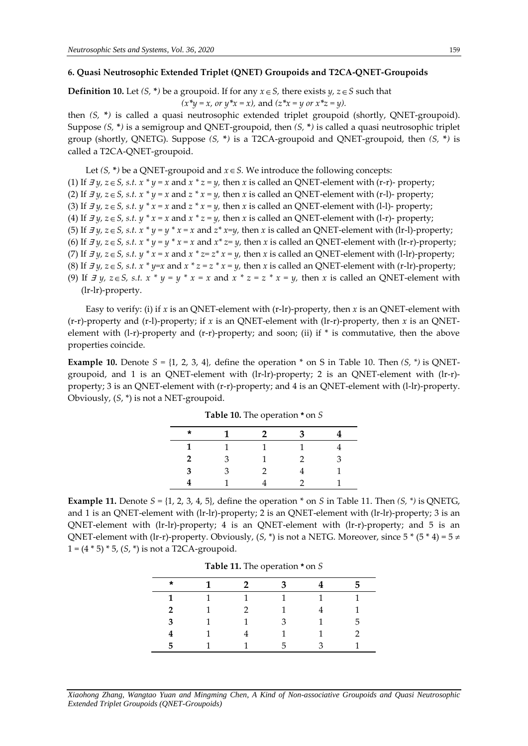## **6. Quasi Neutrosophic Extended Triplet (QNET) Groupoids and T2CA-QNET-Groupoids**

# **Definition 10.** Let  $(S, * )$  be a groupoid. If for any  $x \in S$ , there exists  $y, z \in S$  such that

 $(x^*y = x, or y^*x = x)$ , and  $(z^*x = y, or x^*z = y)$ .

then *(S,* **\****)* is called a quasi neutrosophic extended triplet groupoid (shortly, QNET-groupoid). Suppose *(S,* **\****)* is a semigroup and QNET-groupoid, then *(S,* **\****)* is called a quasi neutrosophic triplet group (shortly, QNETG). Suppose *(S,* **\****)* is a T2CA-groupoid and QNET-groupoid, then *(S,* **\****)* is called a T2CA-QNET-groupoid.

Let  $(S, * )$  be a QNET-groupoid and  $x \in S$ . We introduce the following concepts: (1) If  $\exists y, z \in S$ , s.t.  $x * y = x$  and  $x * z = y$ , then  $x$  is called an QNET-element with (r-r)- property; (2) If  $\exists y, z \in S$ , *s.t.*  $x * y = x$  and  $z * x = y$ , then  $x$  is called an QNET-element with (r-l)- property; (3) If  $\exists y, z \in S$ , *s.t.*  $y * x = x$  and  $z * x = y$ , then  $x$  is called an QNET-element with (1-1)- property; (4) If  $\exists y, z \in S$ , s.t.  $y * x = x$  and  $x * z = y$ , then  $x$  is called an QNET-element with (1-r)- property; (5) If  $\exists y, z \in S$ , s.t.  $x * y = y * x = x$  and  $z * x = y$ , then  $x$  is called an QNET-element with (lr-l)-property; (6) If  $\exists y, z \in S$ , s.t.  $x * y = y * x = x$  and  $x * z = y$ , then  $x$  is called an QNET-element with (lr-r)-property; (7) If  $\exists y, z \in S$ , s.t.  $y * x = x$  and  $x * z = z * x = y$ , then  $x$  is called an QNET-element with (1-1r)-property; (8) If  $\exists y, z \in S$ , s.t.  $x * y=x$  and  $x * z=z * x=y$ , then  $x$  is called an QNET-element with (r-lr)-property; (9) If  $\exists y, z \in S$ , s.t.  $x * y = y * x = x$  and  $x * z = z * x = y$ , then x is called an QNET-element with (lr-lr)-property.

Easy to verify: (i) if *x* is an QNET-element with (r-lr)-property, then *x* is an QNET-element with (r-r)-property and (r-l)-property; if *x* is an QNET-element with (lr-r)-property, then *x* is an QNETelement with (l-r)-property and (r-r)-property; and soon; (ii) if \* is commutative, then the above properties coincide.

**Example 10.** Denote  $S = \{1, 2, 3, 4\}$ , define the operation  $*$  on S in Table 10. Then  $(S, *)$  is QNETgroupoid, and 1 is an QNET-element with (lr-lr)-property; 2 is an QNET-element with (lr-r) property; 3 is an QNET-element with (r-r)-property; and 4 is an QNET-element with (l-lr)-property. Obviously, (*S*, \*) is not a NET-groupoid.

| $\star$        | 1 | $\mathcal{P}$ | З |   |
|----------------|---|---------------|---|---|
| 1              |   | 1             |   |   |
| $\overline{2}$ | З | 1             | 2 | З |
| 3              | З | 2             |   |   |
|                |   |               | 2 |   |

**Table 10.** The operation *\** on *S*

**Example 11.** Denote  $S = \{1, 2, 3, 4, 5\}$ , define the operation  $*$  on *S* in Table 11. Then *(S, \*)* is QNETG, and 1 is an QNET-element with (lr-lr)-property; 2 is an QNET-element with (lr-lr)-property; 3 is an QNET-element with (lr-lr)-property; 4 is an QNET-element with (lr-r)-property; and 5 is an QNET-element with (lr-r)-property. Obviously,  $(S, * )$  is not a NETG. Moreover, since  $5 * (5 * 4) = 5 \neq 1$ 1 = (4 \* 5) \* 5, (*S*, \*) is not a T2CA-groupoid.

|  | <b>Table 11.</b> The operation * on S |  |
|--|---------------------------------------|--|
|--|---------------------------------------|--|

| $\star$      | $\mathbf{1}$ | $\overline{\mathbf{2}}$ | $\mathbf{3}$     |                | 5. |
|--------------|--------------|-------------------------|------------------|----------------|----|
| $\mathbf{1}$ | $\sim$ 1     | $\overline{1}$          | $\blacksquare$ 1 | $\overline{1}$ | 1  |
| $2^{\circ}$  | $\mathbf{1}$ | $\mathcal{P}$           | $\mathbf{1}$     | 4              |    |
| 3            |              | 1                       | 3                | 1              | 5. |
| 4            |              | 4                       |                  |                |    |
| 5.           |              |                         | 5                | $\mathcal{R}$  |    |

*Xiaohong Zhang, Wangtao Yuan and Mingming Chen, A Kind of Non-associative Groupoids and Quasi Neutrosophic Extended Triplet Groupoids (QNET-Groupoids)*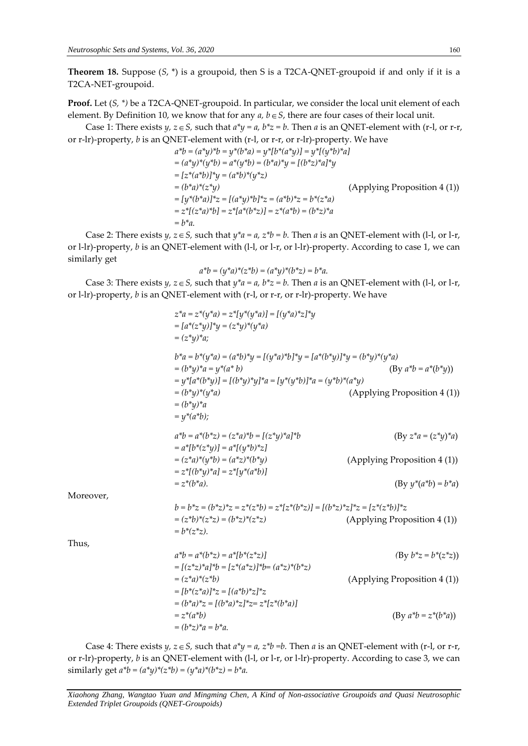**Theorem 18.** Suppose (*S*, \*) is a groupoid, then S is a T2CA-QNET-groupoid if and only if it is a T2CA-NET-groupoid.

**Proof.** Let (*S, \*)* be a T2CA-QNET-groupoid. In particular, we consider the local unit element of each element. By Definition 10, we know that for any  $a, b \in S$ , there are four cases of their local unit.

Case 1: There exists *y*,  $z \in S$ , such that  $a^*y = a$ ,  $b^*z = b$ . Then *a* is an QNET-element with (r-l, or r-r, or r-lr)-property, *b* is an QNET-element with (r-l, or r-r, or r-lr)-property. We have

$$
a^*b = (a^*y)^*b = y^*(b^*a) = y^*[b^*(a^*y)] = y^*[(y^*b)^*a]
$$
  
\n
$$
= (a^*y)^*(y^*b) = a^*(y^*b) = (b^*a)^*y = [(b^*z)^*a]^*y
$$
  
\n
$$
= [z^*(a^*b)]^*y = (a^*b)^*(y^*z)
$$
  
\n
$$
= (b^*a)^*(z^*y)
$$
  
\n
$$
= [y^*(b^*a)]^*z = [(a^*y)^*b]^*z = (a^*b)^*z = b^*(z^*a)
$$
  
\n
$$
= z^*[(z^*a)^*b] = z^*[a^*(b^*z)] = z^*(a^*b) = (b^*z)^*a
$$
  
\n
$$
= b^*a.
$$

Case 2: There exists *y*,  $z \in S$ , such that  $y^*a = a$ ,  $z^*b = b$ . Then *a* is an QNET-element with (1-1, or 1-r, or l-lr)-property, *b* is an QNET-element with (l-l, or l-r, or l-lr)-property. According to case 1, we can similarly get

$$
a^*b = (y^*a)^*(z^*b) = (a^*y)^*(b^*z) = b^*a.
$$

Case 3: There exists *y*,  $z \in S$ , such that  $y^*a = a$ ,  $b^*z = b$ . Then *a* is an QNET-element with (1-1, or 1-r, or l-lr)-property, *b* is an QNET-element with (r-l, or r-r, or r-lr)-property. We have

$$
z^{*}a = z^{*}(y^{*}a) = z^{*}[y^{*}(y^{*}a)] = [(y^{*}a)^{*}z]^{*}y
$$
  
\n
$$
= [a^{*}(z^{*}y)^{1*}y = (z^{*}y)^{*}(y^{*}a)
$$
  
\n
$$
= (z^{*}y)^{*}a;
$$
  
\n
$$
b^{*}a = b^{*}(y^{*}a) = (a^{*}b)^{*}y = [(y^{*}a)^{*}b]^{*}y = [a^{*}(b^{*}y)]^{*}y = (b^{*}y)^{*}(y^{*}a)
$$
  
\n
$$
= (b^{*}y)^{*}a = y^{*}(a^{*}b)
$$
  
\n
$$
= y^{*}[a^{*}(b^{*}y)] = [(b^{*}y)^{*}y]^{*}a = [y^{*}(y^{*}b)]^{*}a = (y^{*}b)^{*}(a^{*}y)
$$
  
\n
$$
= (b^{*}y)^{*}a
$$
  
\n
$$
= (b^{*}y)^{*}a
$$
  
\n
$$
= (b^{*}y)^{*}a
$$
  
\n
$$
= (b^{*}y)^{*}a
$$
  
\n
$$
= y^{*}(a^{*}b);
$$
  
\n
$$
a^{*}b = a^{*}(b^{*}z) = (z^{*}a)^{*}b = [(z^{*}y)^{*}a]^{*}b
$$
  
\n
$$
= y^{*}(a^{*}b);
$$
  
\n
$$
a^{*}b = a^{*}(b^{*}z) = (z^{*}a)^{*}(b^{*}y)
$$
  
\n
$$
= a^{*}[b^{*}(z^{*}y)] = a^{*}[(y^{*}b)^{*}z]
$$
  
\n
$$
= (z^{*}a)^{*}(y^{*}b) = (a^{*}z)^{*}(b^{*}y)
$$
  
\n
$$
= z^{*}(b^{*}a).
$$
  
\nMoreover,  
\n
$$
b = b^{*}z = (b^{*}z)^{*}z = z^{*}(z^{*}b) = z^{*}[z^{*}(b^{*}z)] = [(b^{*}z)^{*}z]^{*}z = [z^{*}(z^{*}b)]^{*}z
$$
  
\n
$$
= (z^{
$$

Case 4: There exists *y*,  $z \in S$ , such that  $a^*y = a$ ,  $z^*b = b$ . Then *a* is an QNET-element with (r-l, or r-r, or r-lr)-property, *b* is an QNET-element with (l-l, or l-r, or l-lr)-property. According to case 3, we can similarly get  $a^*b = (a^*y)^*(z^*b) = (y^*a)^*(b^*z) = b^*a$ .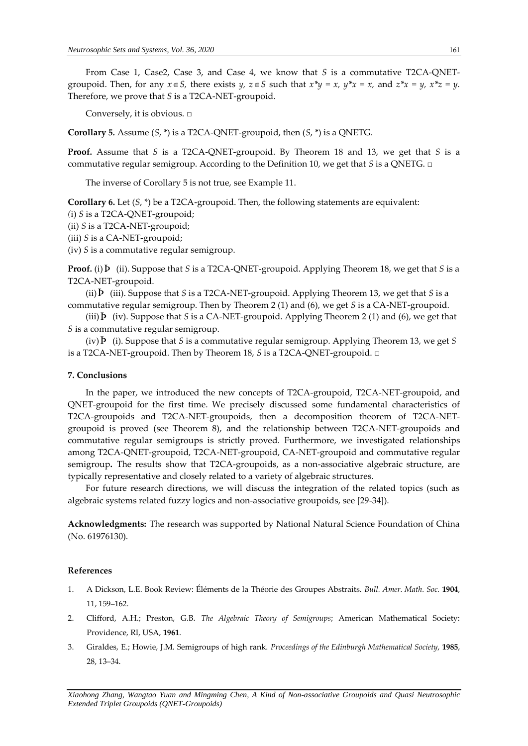From Case 1, Case2, Case 3, and Case 4, we know that *S* is a commutative T2CA-QNETgroupoid. Then, for any  $x \in S$ , there exists  $y$ ,  $z \in S$  such that  $x^*y = x$ ,  $y^*x = x$ , and  $z^*x = y$ ,  $x^*z = y$ . Therefore, we prove that *S* is a T2CA-NET-groupoid.

Conversely, it is obvious. □

**Corollary 5***.* Assume (*S*, \*) is a T2CA-QNET-groupoid, then (*S*, \*) is a QNETG.

**Proof.** Assume that *S* is a T2CA-QNET-groupoid. By Theorem 18 and 13, we get that *S* is a commutative regular semigroup. According to the Definition 10, we get that *S* is a QNETG. **□**

The inverse of Corollary 5 is not true, see Example 11.

**Corollary 6.** Let (*S*, \*) be a T2CA-groupoid. Then, the following statements are equivalent:

- *(*i) *S* is a T2CA-QNET-groupoid;
- (ii) *S* is a T2CA-NET-groupoid;
- (iii) *S* is a CA-NET-groupoid;

(iv) *S* is a commutative regular semigroup.

**Proof.** (i) Þ (ii). Suppose that *S* is a T2CA-QNET-groupoid. Applying Theorem 18, we get that *S* is a T2CA-NET-groupoid.

(ii) Þ (iii). Suppose that *S* is a T2CA-NET-groupoid. Applying Theorem 13, we get that *S* is a commutative regular semigroup. Then by Theorem 2 (1) and (6), we get *S* is a CA-NET-groupoid.

(iii)  $\overline{P}$  (iv). Suppose that *S* is a CA-NET-groupoid. Applying Theorem 2 (1) and (6), we get that *S* is a commutative regular semigroup.

(iv) Þ (i). Suppose that *S* is a commutative regular semigroup. Applying Theorem 13, we get *S* is a T2CA-NET-groupoid. Then by Theorem 18, *S* is a T2CA-QNET-groupoid. □

#### **7. Conclusions**

In the paper, we introduced the new concepts of T2CA-groupoid, T2CA-NET-groupoid, and QNET-groupoid for the first time. We precisely discussed some fundamental characteristics of T2CA-groupoids and T2CA-NET-groupoids, then a decomposition theorem of T2CA-NETgroupoid is proved (see Theorem 8), and the relationship between T2CA-NET-groupoids and commutative regular semigroups is strictly proved. Furthermore, we investigated relationships among T2CA-QNET-groupoid, T2CA-NET-groupoid, CA-NET-groupoid and commutative regular semigroup**.** The results show that T2CA-groupoids, as a non-associative algebraic structure, are typically representative and closely related to a variety of algebraic structures.

For future research directions, we will discuss the integration of the related topics (such as algebraic systems related fuzzy logics and non-associative groupoids, see [29-34]).

**Acknowledgments:** The research was supported by National Natural Science Foundation of China (No. 61976130).

#### **References**

- 1. A Dickson, L.E. Book Review: Éléments de la Théorie des Groupes Abstraits. *Bull. Amer. Math. Soc.* **1904**, 11, 159–162.
- 2. Clifford, A.H.; Preston, G.B. *The Algebraic Theory of Semigroups*; American Mathematical Society: Providence, RI, USA, **1961**.
- 3. Giraldes, E.; Howie, J.M. Semigroups of high rank. *Proceedings of the Edinburgh Mathematical Society*, **1985**, 28, 13–34.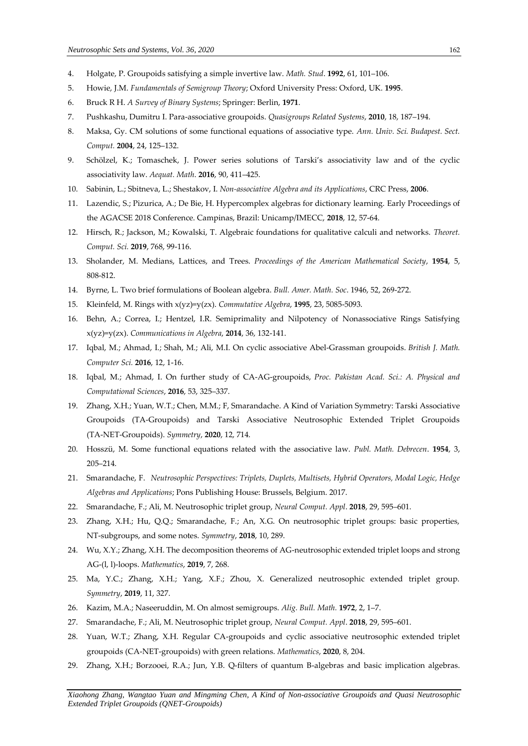- 4. Holgate, P. Groupoids satisfying a simple invertive law. *Math. Stud*. **1992**, 61, 101–106.
- 5. Howie, J.M. *Fundamentals of Semigroup Theory*; Oxford University Press: Oxford, UK. **1995**.
- 6. Bruck R H. *A Survey of Binary Systems*; Springer: Berlin, **1971**.
- 7. Pushkashu, Dumitru I. Para-associative groupoids. *Quasigroups Related Systems*, **2010**, 18, 187–194.
- 8. Maksa, Gy. CM solutions of some functional equations of associative type. *Ann. Univ. Sci. Budapest. Sect. Comput.* **2004**, 24, 125–132.
- 9. Schölzel, K.; Tomaschek, J. Power series solutions of Tarski's associativity law and of the cyclic associativity law. *Aequat. Math*. **2016**, 90, 411–425.
- 10. Sabinin, L.; Sbitneva, L.; Shestakov, I. *Non-associative Algebra and its Applications*, CRC Press, **2006**.
- 11. Lazendic, S.; Pizurica, A.; De Bie, H. Hypercomplex algebras for dictionary learning. Early Proceedings of the AGACSE 2018 Conference. Campinas, Brazil: Unicamp/IMECC, **2018**, 12, 57-64.
- 12. Hirsch, R.; Jackson, M.; Kowalski, T. Algebraic foundations for qualitative calculi and networks. *Theoret. Comput. Sci.* **2019**, 768, 99-116.
- 13. Sholander, M. Medians, Lattices, and Trees. *Proceedings of the American Mathematical Society*, **1954**, 5, 808-812.
- 14. Byrne, L. Two brief formulations of Boolean algebra. *Bull. Amer. Math. Soc*. 1946, 52, 269-272.
- 15. Kleinfeld, M. Rings with x(yz)=y(zx). *Commutative Algebra*, **1995**, 23, 5085-5093.
- 16. Behn, A.; Correa, I.; Hentzel, I.R. Semiprimality and Nilpotency of Nonassociative Rings Satisfying x(yz)=y(zx). *Communications in Algebra*, **2014**, 36, 132-141.
- 17. Iqbal, M.; Ahmad, I.; Shah, M.; Ali, M.I. On cyclic associative Abel-Grassman groupoids. *British J. Math. Computer Sci.* **2016**, 12, 1-16.
- 18. Iqbal, M.; Ahmad, I. On further study of CA-AG-groupoids, *Proc. Pakistan Acad. Sci.: A. Physical and Computational Sciences*, **2016**, 53, 325–337.
- 19. Zhang, X.H.; Yuan, W.T.; Chen, M.M.; F, Smarandache. A Kind of Variation Symmetry: Tarski Associative Groupoids (TA-Groupoids) and Tarski Associative Neutrosophic Extended Triplet Groupoids (TA-NET-Groupoids). *Symmetry*, **2020**, 12, 714.
- 20. Hosszü, M. Some functional equations related with the associative law. *Publ. Math. Debrecen*. **1954**, 3, 205–214.
- 21. Smarandache, F. *Neutrosophic Perspectives: Triplets, Duplets, Multisets, Hybrid Operators, Modal Logic, Hedge Algebras and Applications*; Pons Publishing House: Brussels, Belgium. 2017.
- 22. Smarandache, F.; Ali, M. Neutrosophic triplet group, *Neural Comput. Appl*. **2018**, 29, 595–601.
- 23. Zhang, X.H.; Hu, Q.Q.; Smarandache, F.; An, X.G. On neutrosophic triplet groups: basic properties, NT-subgroups, and some notes. *Symmetry*, **2018**, 10, 289.
- 24. Wu, X.Y.; Zhang, X.H. The decomposition theorems of AG-neutrosophic extended triplet loops and strong AG-(l, l)-loops. *Mathematics*, **2019**, 7, 268.
- 25. Ma, Y.C.; Zhang, X.H.; Yang, X.F.; Zhou, X. Generalized neutrosophic extended triplet group. *Symmetry*, **2019**, 11, 327.
- 26. Kazim, M.A.; Naseeruddin, M. On almost semigroups. *Alig. Bull. Math.* **1972**, 2, 1–7.
- 27. Smarandache, F.; Ali, M. Neutrosophic triplet group, *Neural Comput. Appl*. **2018**, 29, 595–601.
- 28. Yuan, W.T.; Zhang, X.H. Regular CA-groupoids and cyclic associative neutrosophic extended triplet groupoids (CA-NET-groupoids) with green relations. *Mathematics*, **2020**, 8, 204.
- 29. Zhang, X.H.; Borzooei, R.A.; Jun, Y.B. Q-filters of quantum B-algebras and basic implication algebras.